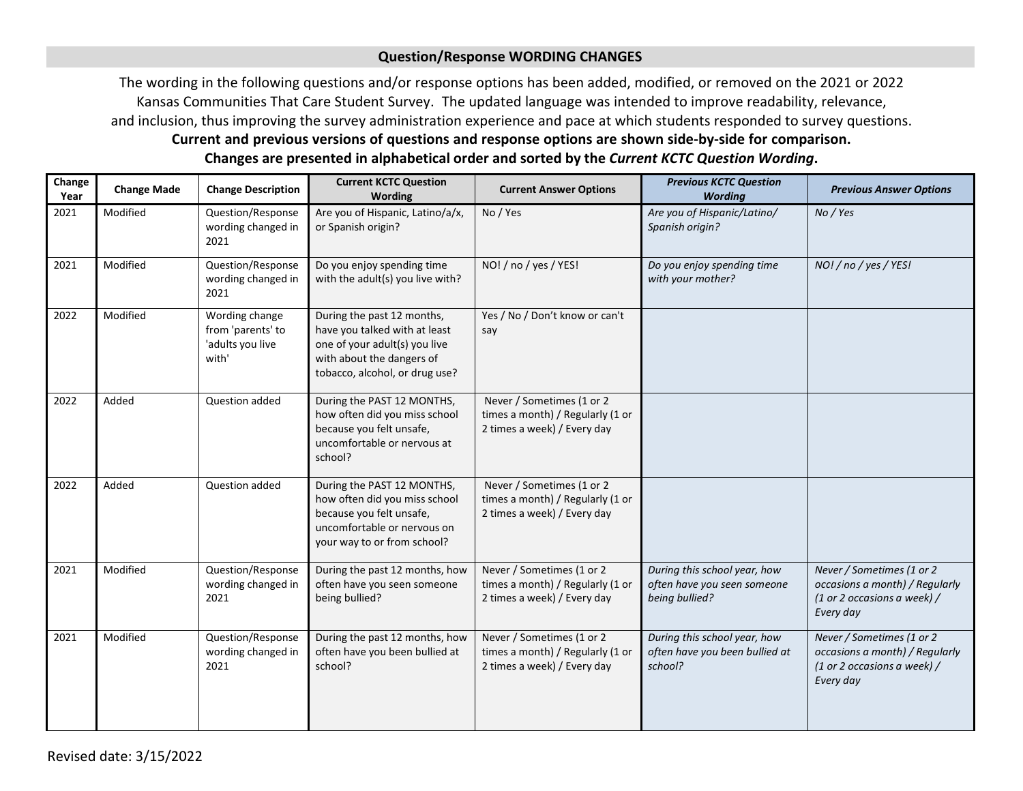## **Question/Response WORDING CHANGES**

The wording in the following questions and/or response options has been added, modified, or removed on the 2021 or 2022 Kansas Communities That Care Student Survey. The updated language was intended to improve readability, relevance, and inclusion, thus improving the survey administration experience and pace at which students responded to survey questions. **Current and previous versions of questions and response options are shown side-by-side for comparison. Changes are presented in alphabetical order and sorted by the** *Current KCTC Question Wording***.**

| Change<br>Year | <b>Change Made</b> | <b>Change Description</b>                                        | <b>Current KCTC Question</b><br><b>Wording</b>                                                                                                              | <b>Current Answer Options</b>                                                                | <b>Previous KCTC Question</b><br><b>Wording</b>                               | <b>Previous Answer Options</b>                                                                          |
|----------------|--------------------|------------------------------------------------------------------|-------------------------------------------------------------------------------------------------------------------------------------------------------------|----------------------------------------------------------------------------------------------|-------------------------------------------------------------------------------|---------------------------------------------------------------------------------------------------------|
| 2021           | Modified           | Question/Response<br>wording changed in<br>2021                  | Are you of Hispanic, Latino/a/x,<br>or Spanish origin?                                                                                                      | No / Yes                                                                                     | Are you of Hispanic/Latino/<br>Spanish origin?                                | No / Yes                                                                                                |
| 2021           | Modified           | Question/Response<br>wording changed in<br>2021                  | Do you enjoy spending time<br>with the adult(s) you live with?                                                                                              | NO! / no / yes / YES!                                                                        | Do you enjoy spending time<br>with your mother?                               | NO! / no / yes / YES!                                                                                   |
| 2022           | Modified           | Wording change<br>from 'parents' to<br>'adults you live<br>with' | During the past 12 months,<br>have you talked with at least<br>one of your adult(s) you live<br>with about the dangers of<br>tobacco, alcohol, or drug use? | Yes / No / Don't know or can't<br>say                                                        |                                                                               |                                                                                                         |
| 2022           | Added              | Question added                                                   | During the PAST 12 MONTHS,<br>how often did you miss school<br>because you felt unsafe,<br>uncomfortable or nervous at<br>school?                           | Never / Sometimes (1 or 2<br>times a month) / Regularly (1 or<br>2 times a week) / Every day |                                                                               |                                                                                                         |
| 2022           | Added              | Question added                                                   | During the PAST 12 MONTHS,<br>how often did you miss school<br>because you felt unsafe,<br>uncomfortable or nervous on<br>your way to or from school?       | Never / Sometimes (1 or 2<br>times a month) / Regularly (1 or<br>2 times a week) / Every day |                                                                               |                                                                                                         |
| 2021           | Modified           | Question/Response<br>wording changed in<br>2021                  | During the past 12 months, how<br>often have you seen someone<br>being bullied?                                                                             | Never / Sometimes (1 or 2<br>times a month) / Regularly (1 or<br>2 times a week) / Every day | During this school year, how<br>often have you seen someone<br>being bullied? | Never / Sometimes (1 or 2<br>occasions a month) / Regularly<br>(1 or 2 occasions a week) /<br>Every day |
| 2021           | Modified           | Question/Response<br>wording changed in<br>2021                  | During the past 12 months, how<br>often have you been bullied at<br>school?                                                                                 | Never / Sometimes (1 or 2<br>times a month) / Regularly (1 or<br>2 times a week) / Every day | During this school year, how<br>often have you been bullied at<br>school?     | Never / Sometimes (1 or 2<br>occasions a month) / Regularly<br>(1 or 2 occasions a week) /<br>Every day |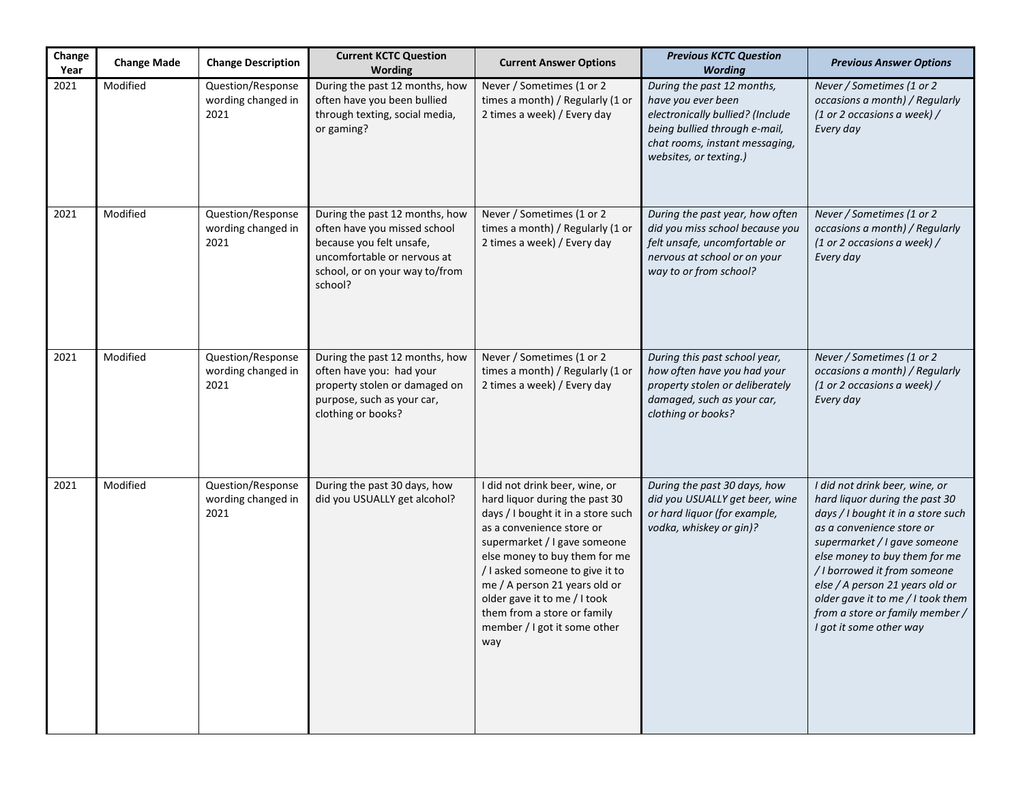| Change<br>Year | <b>Change Made</b> | <b>Change Description</b>                       | <b>Current KCTC Question</b><br>Wording                                                                                                                                | <b>Current Answer Options</b>                                                                                                                                                                                                                                                                                                                                                  | <b>Previous KCTC Question</b><br><b>Wording</b>                                                                                                                                   | <b>Previous Answer Options</b>                                                                                                                                                                                                                                                                                                                                             |
|----------------|--------------------|-------------------------------------------------|------------------------------------------------------------------------------------------------------------------------------------------------------------------------|--------------------------------------------------------------------------------------------------------------------------------------------------------------------------------------------------------------------------------------------------------------------------------------------------------------------------------------------------------------------------------|-----------------------------------------------------------------------------------------------------------------------------------------------------------------------------------|----------------------------------------------------------------------------------------------------------------------------------------------------------------------------------------------------------------------------------------------------------------------------------------------------------------------------------------------------------------------------|
| 2021           | Modified           | Question/Response<br>wording changed in<br>2021 | During the past 12 months, how<br>often have you been bullied<br>through texting, social media,<br>or gaming?                                                          | Never / Sometimes (1 or 2<br>times a month) / Regularly (1 or<br>2 times a week) / Every day                                                                                                                                                                                                                                                                                   | During the past 12 months,<br>have you ever been<br>electronically bullied? (Include<br>being bullied through e-mail,<br>chat rooms, instant messaging,<br>websites, or texting.) | Never / Sometimes (1 or 2<br>occasions a month) / Regularly<br>(1 or 2 occasions a week) /<br>Every day                                                                                                                                                                                                                                                                    |
| 2021           | Modified           | Question/Response<br>wording changed in<br>2021 | During the past 12 months, how<br>often have you missed school<br>because you felt unsafe,<br>uncomfortable or nervous at<br>school, or on your way to/from<br>school? | Never / Sometimes (1 or 2<br>times a month) / Regularly (1 or<br>2 times a week) / Every day                                                                                                                                                                                                                                                                                   | During the past year, how often<br>did you miss school because you<br>felt unsafe, uncomfortable or<br>nervous at school or on your<br>way to or from school?                     | Never / Sometimes (1 or 2<br>occasions a month) / Regularly<br>(1 or 2 occasions a week) /<br>Every day                                                                                                                                                                                                                                                                    |
| 2021           | Modified           | Question/Response<br>wording changed in<br>2021 | During the past 12 months, how<br>often have you: had your<br>property stolen or damaged on<br>purpose, such as your car,<br>clothing or books?                        | Never / Sometimes (1 or 2<br>times a month) / Regularly (1 or<br>2 times a week) / Every day                                                                                                                                                                                                                                                                                   | During this past school year,<br>how often have you had your<br>property stolen or deliberately<br>damaged, such as your car,<br>clothing or books?                               | Never / Sometimes (1 or 2<br>occasions a month) / Regularly<br>(1 or 2 occasions a week) /<br>Every day                                                                                                                                                                                                                                                                    |
| 2021           | Modified           | Question/Response<br>wording changed in<br>2021 | During the past 30 days, how<br>did you USUALLY get alcohol?                                                                                                           | I did not drink beer, wine, or<br>hard liquor during the past 30<br>days / I bought it in a store such<br>as a convenience store or<br>supermarket / I gave someone<br>else money to buy them for me<br>/ I asked someone to give it to<br>me / A person 21 years old or<br>older gave it to me / I took<br>them from a store or family<br>member / I got it some other<br>way | During the past 30 days, how<br>did you USUALLY get beer, wine<br>or hard liquor (for example,<br>vodka, whiskey or gin)?                                                         | I did not drink beer, wine, or<br>hard liquor during the past 30<br>days / I bought it in a store such<br>as a convenience store or<br>supermarket / I gave someone<br>else money to buy them for me<br>/ I borrowed it from someone<br>else / A person 21 years old or<br>older gave it to me / I took them<br>from a store or family member /<br>I got it some other way |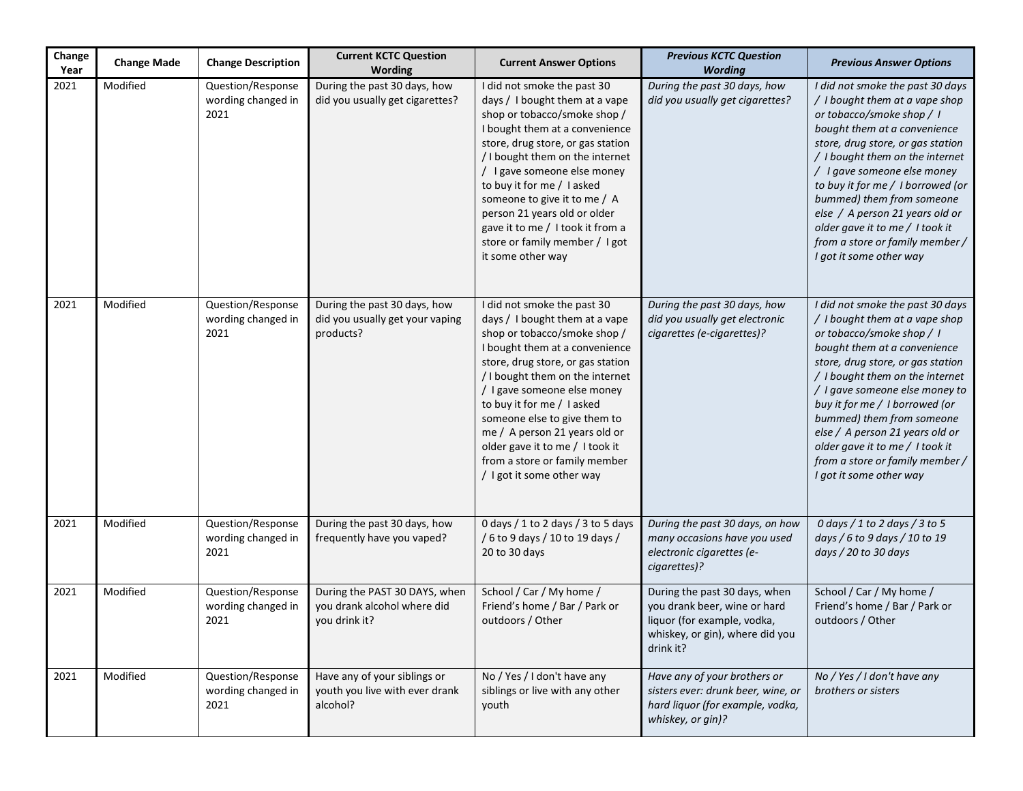| Change<br>Year | <b>Change Made</b> | <b>Change Description</b>                       | <b>Current KCTC Question</b><br>Wording                                       | <b>Current Answer Options</b>                                                                                                                                                                                                                                                                                                                                                                                                          | <b>Previous KCTC Question</b><br><b>Wording</b>                                                                                              | <b>Previous Answer Options</b>                                                                                                                                                                                                                                                                                                                                                                                                               |
|----------------|--------------------|-------------------------------------------------|-------------------------------------------------------------------------------|----------------------------------------------------------------------------------------------------------------------------------------------------------------------------------------------------------------------------------------------------------------------------------------------------------------------------------------------------------------------------------------------------------------------------------------|----------------------------------------------------------------------------------------------------------------------------------------------|----------------------------------------------------------------------------------------------------------------------------------------------------------------------------------------------------------------------------------------------------------------------------------------------------------------------------------------------------------------------------------------------------------------------------------------------|
| 2021           | Modified           | Question/Response<br>wording changed in<br>2021 | During the past 30 days, how<br>did you usually get cigarettes?               | I did not smoke the past 30<br>days / I bought them at a vape<br>shop or tobacco/smoke shop /<br>I bought them at a convenience<br>store, drug store, or gas station<br>/ I bought them on the internet<br>/ I gave someone else money<br>to buy it for me / I asked<br>someone to give it to me / A<br>person 21 years old or older<br>gave it to me / I took it from a<br>store or family member / I got<br>it some other way        | During the past 30 days, how<br>did you usually get cigarettes?                                                                              | I did not smoke the past 30 days<br>/ I bought them at a vape shop<br>or tobacco/smoke shop / I<br>bought them at a convenience<br>store, drug store, or gas station<br>/ I bought them on the internet<br>/ I gave someone else money<br>to buy it for me / I borrowed (or<br>bummed) them from someone<br>else / A person 21 years old or<br>older gave it to me / I took it<br>from a store or family member /<br>I got it some other way |
| 2021           | Modified           | Question/Response<br>wording changed in<br>2021 | During the past 30 days, how<br>did you usually get your vaping<br>products?  | I did not smoke the past 30<br>days / I bought them at a vape<br>shop or tobacco/smoke shop /<br>I bought them at a convenience<br>store, drug store, or gas station<br>/ I bought them on the internet<br>/ I gave someone else money<br>to buy it for me / I asked<br>someone else to give them to<br>me / A person 21 years old or<br>older gave it to me / I took it<br>from a store or family member<br>/ I got it some other way | During the past 30 days, how<br>did you usually get electronic<br>cigarettes (e-cigarettes)?                                                 | I did not smoke the past 30 days<br>/ I bought them at a vape shop<br>or tobacco/smoke shop / I<br>bought them at a convenience<br>store, drug store, or gas station<br>/ I bought them on the internet<br>/ I gave someone else money to<br>buy it for me / I borrowed (or<br>bummed) them from someone<br>else / A person 21 years old or<br>older gave it to me / I took it<br>from a store or family member /<br>I got it some other way |
| 2021           | Modified           | Question/Response<br>wording changed in<br>2021 | During the past 30 days, how<br>frequently have you vaped?                    | 0 days / 1 to 2 days / 3 to 5 days<br>/ 6 to 9 days / 10 to 19 days /<br>20 to 30 days                                                                                                                                                                                                                                                                                                                                                 | During the past 30 days, on how<br>many occasions have you used<br>electronic cigarettes (e-<br>cigarettes)?                                 | 0 days / 1 to 2 days / 3 to 5<br>days / 6 to 9 days / 10 to 19<br>days / 20 to 30 days                                                                                                                                                                                                                                                                                                                                                       |
| 2021           | Modified           | Question/Response<br>wording changed in<br>2021 | During the PAST 30 DAYS, when<br>you drank alcohol where did<br>you drink it? | School / Car / My home /<br>Friend's home / Bar / Park or<br>outdoors / Other                                                                                                                                                                                                                                                                                                                                                          | During the past 30 days, when<br>you drank beer, wine or hard<br>liquor (for example, vodka,<br>whiskey, or gin), where did you<br>drink it? | School / Car / My home /<br>Friend's home / Bar / Park or<br>outdoors / Other                                                                                                                                                                                                                                                                                                                                                                |
| 2021           | Modified           | Question/Response<br>wording changed in<br>2021 | Have any of your siblings or<br>youth you live with ever drank<br>alcohol?    | No / Yes / I don't have any<br>siblings or live with any other<br>youth                                                                                                                                                                                                                                                                                                                                                                | Have any of your brothers or<br>sisters ever: drunk beer, wine, or<br>hard liquor (for example, vodka,<br>whiskey, or gin)?                  | No / Yes / I don't have any<br>brothers or sisters                                                                                                                                                                                                                                                                                                                                                                                           |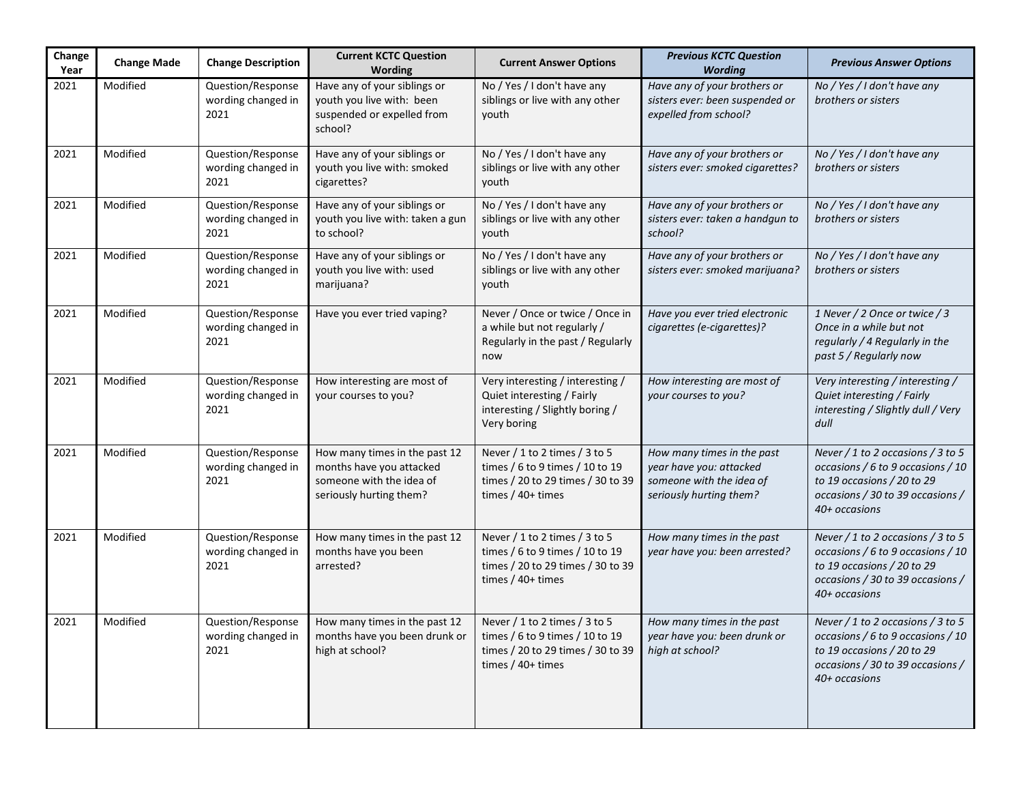| Change<br>Year | <b>Change Made</b> | <b>Change Description</b>                       | <b>Current KCTC Question</b><br>Wording                                                                          | <b>Current Answer Options</b>                                                                                                | <b>Previous KCTC Question</b><br><b>Wording</b>                                                              | <b>Previous Answer Options</b>                                                                                                                                |
|----------------|--------------------|-------------------------------------------------|------------------------------------------------------------------------------------------------------------------|------------------------------------------------------------------------------------------------------------------------------|--------------------------------------------------------------------------------------------------------------|---------------------------------------------------------------------------------------------------------------------------------------------------------------|
| 2021           | Modified           | Question/Response<br>wording changed in<br>2021 | Have any of your siblings or<br>youth you live with: been<br>suspended or expelled from<br>school?               | No / Yes / I don't have any<br>siblings or live with any other<br>youth                                                      | Have any of your brothers or<br>sisters ever: been suspended or<br>expelled from school?                     | No / Yes / I don't have any<br>brothers or sisters                                                                                                            |
| 2021           | Modified           | Question/Response<br>wording changed in<br>2021 | Have any of your siblings or<br>youth you live with: smoked<br>cigarettes?                                       | No / Yes / I don't have any<br>siblings or live with any other<br>youth                                                      | Have any of your brothers or<br>sisters ever: smoked cigarettes?                                             | No / Yes / I don't have any<br>brothers or sisters                                                                                                            |
| 2021           | Modified           | Question/Response<br>wording changed in<br>2021 | Have any of your siblings or<br>youth you live with: taken a gun<br>to school?                                   | No / Yes / I don't have any<br>siblings or live with any other<br>youth                                                      | Have any of your brothers or<br>sisters ever: taken a handgun to<br>school?                                  | No / Yes / I don't have any<br>brothers or sisters                                                                                                            |
| 2021           | Modified           | Question/Response<br>wording changed in<br>2021 | Have any of your siblings or<br>youth you live with: used<br>marijuana?                                          | No / Yes / I don't have any<br>siblings or live with any other<br>youth                                                      | Have any of your brothers or<br>sisters ever: smoked marijuana?                                              | No / Yes / I don't have any<br>brothers or sisters                                                                                                            |
| 2021           | Modified           | Question/Response<br>wording changed in<br>2021 | Have you ever tried vaping?                                                                                      | Never / Once or twice / Once in<br>a while but not regularly /<br>Regularly in the past / Regularly<br>now                   | Have you ever tried electronic<br>cigarettes (e-cigarettes)?                                                 | 1 Never / 2 Once or twice / 3<br>Once in a while but not<br>regularly / 4 Regularly in the<br>past 5 / Regularly now                                          |
| 2021           | Modified           | Question/Response<br>wording changed in<br>2021 | How interesting are most of<br>your courses to you?                                                              | Very interesting / interesting /<br>Quiet interesting / Fairly<br>interesting / Slightly boring /<br>Very boring             | How interesting are most of<br>your courses to you?                                                          | Very interesting / interesting /<br>Quiet interesting / Fairly<br>interesting / Slightly dull / Very<br>dull                                                  |
| 2021           | Modified           | Question/Response<br>wording changed in<br>2021 | How many times in the past 12<br>months have you attacked<br>someone with the idea of<br>seriously hurting them? | Never / 1 to 2 times / 3 to 5<br>times / 6 to 9 times / 10 to 19<br>times / 20 to 29 times / 30 to 39<br>times $/ 40+$ times | How many times in the past<br>year have you: attacked<br>someone with the idea of<br>seriously hurting them? | Never / 1 to 2 occasions / 3 to 5<br>occasions / 6 to 9 occasions / 10<br>to 19 occasions / 20 to 29<br>occasions / 30 to 39 occasions /<br>40+ occasions     |
| 2021           | Modified           | Question/Response<br>wording changed in<br>2021 | How many times in the past 12<br>months have you been<br>arrested?                                               | Never / 1 to 2 times / 3 to 5<br>times / 6 to 9 times / 10 to 19<br>times / 20 to 29 times / 30 to 39<br>times / 40+ times   | How many times in the past<br>year have you: been arrested?                                                  | Never / 1 to 2 occasions / 3 to 5<br>occasions / 6 to 9 occasions / 10<br>to 19 occasions / 20 to 29<br>occasions / 30 to 39 occasions /<br>40+ occasions     |
| 2021           | Modified           | Question/Response<br>wording changed in<br>2021 | How many times in the past 12<br>months have you been drunk or<br>high at school?                                | Never / 1 to 2 times / 3 to 5<br>times / 6 to 9 times / 10 to 19<br>times / 20 to 29 times / 30 to 39<br>times $/40+$ times  | How many times in the past<br>year have you: been drunk or<br>high at school?                                | Never $/$ 1 to 2 occasions $/$ 3 to 5<br>occasions / 6 to 9 occasions / 10<br>to 19 occasions / 20 to 29<br>occasions / 30 to 39 occasions /<br>40+ occasions |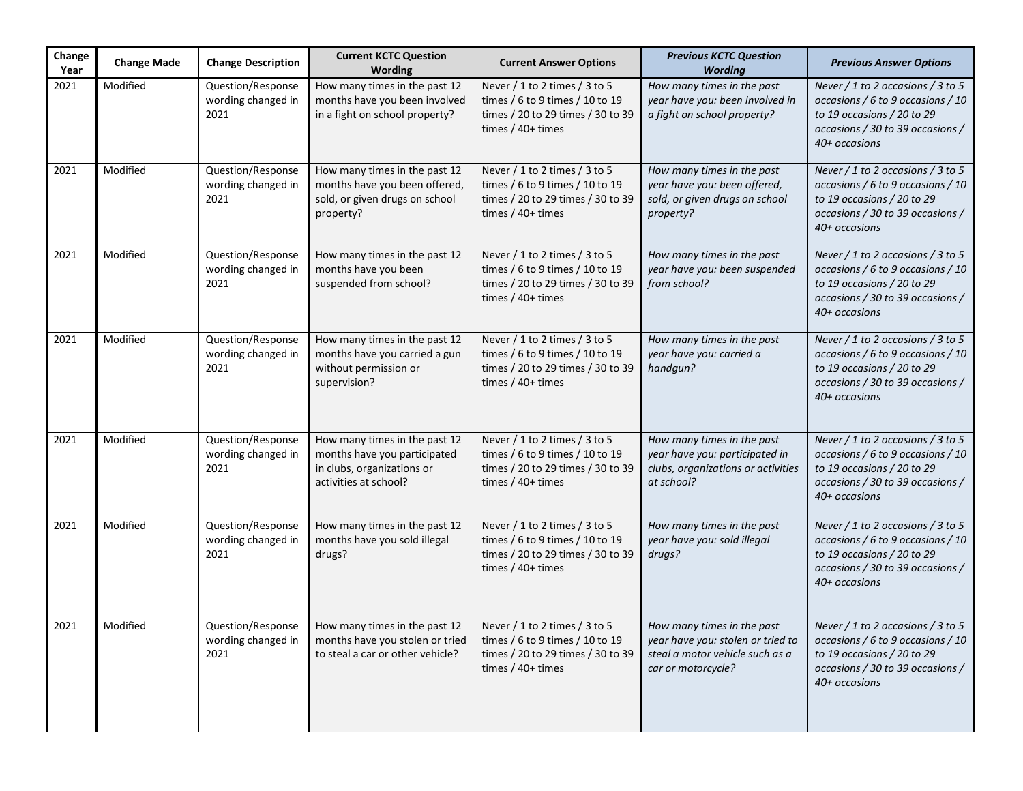| Change<br>Year | <b>Change Made</b> | <b>Change Description</b>                       | <b>Current KCTC Question</b><br>Wording                                                                              | <b>Current Answer Options</b>                                                                                                | <b>Previous KCTC Question</b><br><b>Wording</b>                                                                          | <b>Previous Answer Options</b>                                                                                                                                |
|----------------|--------------------|-------------------------------------------------|----------------------------------------------------------------------------------------------------------------------|------------------------------------------------------------------------------------------------------------------------------|--------------------------------------------------------------------------------------------------------------------------|---------------------------------------------------------------------------------------------------------------------------------------------------------------|
| 2021           | Modified           | Question/Response<br>wording changed in<br>2021 | How many times in the past 12<br>months have you been involved<br>in a fight on school property?                     | Never / 1 to 2 times / 3 to 5<br>times / 6 to 9 times / 10 to 19<br>times / 20 to 29 times / 30 to 39<br>times $/40+$ times  | How many times in the past<br>year have you: been involved in<br>a fight on school property?                             | Never $/$ 1 to 2 occasions $/$ 3 to 5<br>occasions / 6 to 9 occasions / 10<br>to 19 occasions / 20 to 29<br>occasions / 30 to 39 occasions /<br>40+ occasions |
| 2021           | Modified           | Question/Response<br>wording changed in<br>2021 | How many times in the past 12<br>months have you been offered,<br>sold, or given drugs on school<br>property?        | Never / 1 to 2 times / 3 to 5<br>times / 6 to 9 times / 10 to 19<br>times / 20 to 29 times / 30 to 39<br>times / 40+ times   | How many times in the past<br>year have you: been offered,<br>sold, or given drugs on school<br>property?                | Never / 1 to 2 occasions / 3 to 5<br>occasions / 6 to 9 occasions / 10<br>to 19 occasions / 20 to 29<br>occasions / 30 to 39 occasions /<br>40+ occasions     |
| 2021           | Modified           | Question/Response<br>wording changed in<br>2021 | How many times in the past 12<br>months have you been<br>suspended from school?                                      | Never / 1 to 2 times / 3 to 5<br>times / 6 to 9 times / 10 to 19<br>times / 20 to 29 times / 30 to 39<br>times / 40+ times   | How many times in the past<br>year have you: been suspended<br>from school?                                              | Never / 1 to 2 occasions / 3 to 5<br>occasions / 6 to 9 occasions / 10<br>to 19 occasions / 20 to 29<br>occasions / 30 to 39 occasions /<br>40+ occasions     |
| 2021           | Modified           | Question/Response<br>wording changed in<br>2021 | How many times in the past 12<br>months have you carried a gun<br>without permission or<br>supervision?              | Never / 1 to 2 times / 3 to 5<br>times / 6 to 9 times / 10 to 19<br>times / 20 to 29 times / 30 to 39<br>times $/ 40+$ times | How many times in the past<br>year have you: carried a<br>handgun?                                                       | Never / 1 to 2 occasions / 3 to 5<br>occasions / 6 to 9 occasions / 10<br>to 19 occasions / 20 to 29<br>occasions / 30 to 39 occasions /<br>40+ occasions     |
| 2021           | Modified           | Question/Response<br>wording changed in<br>2021 | How many times in the past 12<br>months have you participated<br>in clubs, organizations or<br>activities at school? | Never / 1 to 2 times / 3 to 5<br>times / 6 to 9 times / 10 to 19<br>times / 20 to 29 times / 30 to 39<br>times $/ 40+$ times | How many times in the past<br>year have you: participated in<br>clubs, organizations or activities<br>at school?         | Never / 1 to 2 occasions / 3 to 5<br>occasions / 6 to 9 occasions / 10<br>to 19 occasions / 20 to 29<br>occasions / 30 to 39 occasions /<br>40+ occasions     |
| 2021           | Modified           | Question/Response<br>wording changed in<br>2021 | How many times in the past 12<br>months have you sold illegal<br>drugs?                                              | Never / 1 to 2 times / 3 to 5<br>times / 6 to 9 times / 10 to 19<br>times / 20 to 29 times / 30 to 39<br>times $/40+$ times  | How many times in the past<br>year have you: sold illegal<br>drugs?                                                      | Never / 1 to 2 occasions / 3 to 5<br>occasions / 6 to 9 occasions / 10<br>to 19 occasions / 20 to 29<br>occasions / 30 to 39 occasions /<br>40+ occasions     |
| 2021           | Modified           | Question/Response<br>wording changed in<br>2021 | How many times in the past 12<br>months have you stolen or tried<br>to steal a car or other vehicle?                 | Never / 1 to 2 times / 3 to 5<br>times / 6 to 9 times / 10 to 19<br>times / 20 to 29 times / 30 to 39<br>times $/40+$ times  | How many times in the past<br>year have you: stolen or tried to<br>steal a motor vehicle such as a<br>car or motorcycle? | Never / 1 to 2 occasions / 3 to 5<br>occasions / 6 to 9 occasions / 10<br>to 19 occasions / 20 to 29<br>occasions / 30 to 39 occasions /<br>40+ occasions     |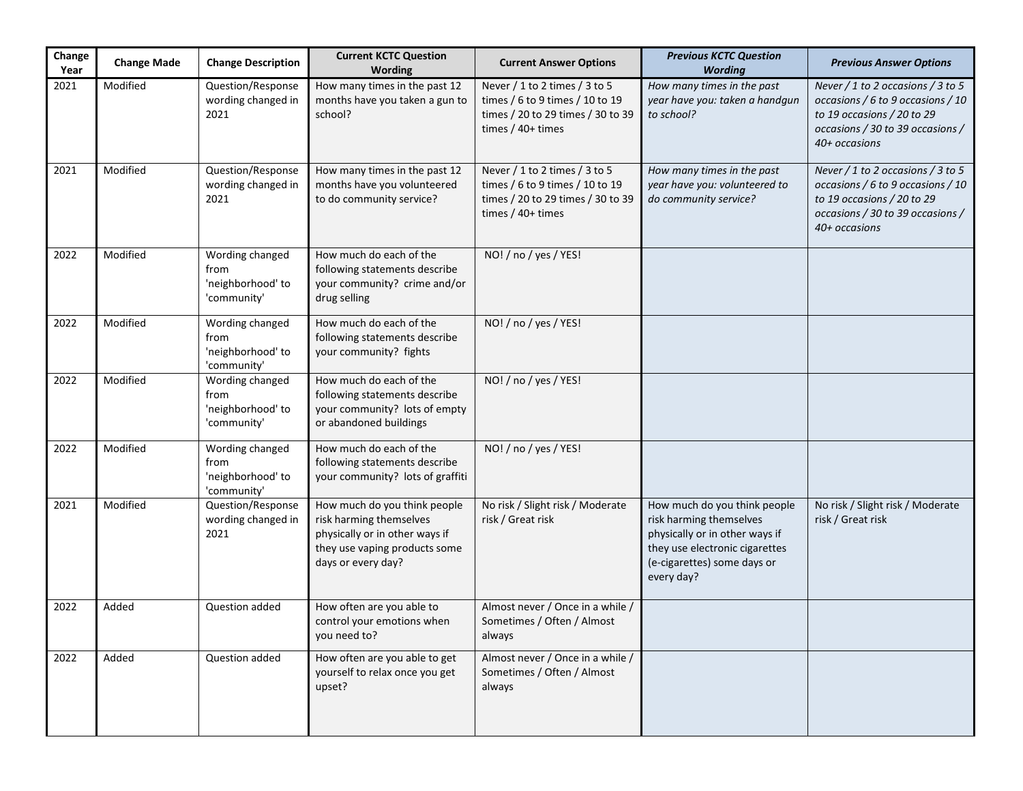| Change<br>Year | <b>Change Made</b> | <b>Change Description</b>                                   | <b>Current KCTC Question</b><br>Wording                                                                                                          | <b>Current Answer Options</b>                                                                                                  | <b>Previous KCTC Question</b><br><b>Wording</b>                                                                                                                          | <b>Previous Answer Options</b>                                                                                                                            |
|----------------|--------------------|-------------------------------------------------------------|--------------------------------------------------------------------------------------------------------------------------------------------------|--------------------------------------------------------------------------------------------------------------------------------|--------------------------------------------------------------------------------------------------------------------------------------------------------------------------|-----------------------------------------------------------------------------------------------------------------------------------------------------------|
| 2021           | Modified           | Question/Response<br>wording changed in<br>2021             | How many times in the past 12<br>months have you taken a gun to<br>school?                                                                       | Never $/1$ to 2 times $/3$ to 5<br>times / 6 to 9 times / 10 to 19<br>times / 20 to 29 times / 30 to 39<br>times $/ 40+$ times | How many times in the past<br>year have you: taken a handgun<br>to school?                                                                                               | Never / 1 to 2 occasions / 3 to 5<br>occasions / 6 to 9 occasions / 10<br>to 19 occasions / 20 to 29<br>occasions / 30 to 39 occasions /<br>40+ occasions |
| 2021           | Modified           | Question/Response<br>wording changed in<br>2021             | How many times in the past 12<br>months have you volunteered<br>to do community service?                                                         | Never / 1 to 2 times / 3 to 5<br>times / 6 to 9 times / 10 to 19<br>times / 20 to 29 times / 30 to 39<br>times $/ 40+$ times   | How many times in the past<br>year have you: volunteered to<br>do community service?                                                                                     | Never / 1 to 2 occasions / 3 to 5<br>occasions / 6 to 9 occasions / 10<br>to 19 occasions / 20 to 29<br>occasions / 30 to 39 occasions /<br>40+ occasions |
| 2022           | Modified           | Wording changed<br>from<br>'neighborhood' to<br>'community' | How much do each of the<br>following statements describe<br>your community? crime and/or<br>drug selling                                         | NO! / no / yes / YES!                                                                                                          |                                                                                                                                                                          |                                                                                                                                                           |
| 2022           | Modified           | Wording changed<br>from<br>'neighborhood' to<br>'community' | How much do each of the<br>following statements describe<br>your community? fights                                                               | NO! / no / yes / YES!                                                                                                          |                                                                                                                                                                          |                                                                                                                                                           |
| 2022           | Modified           | Wording changed<br>from<br>'neighborhood' to<br>'community' | How much do each of the<br>following statements describe<br>your community? lots of empty<br>or abandoned buildings                              | NO! / no / yes / YES!                                                                                                          |                                                                                                                                                                          |                                                                                                                                                           |
| 2022           | Modified           | Wording changed<br>from<br>'neighborhood' to<br>'community' | How much do each of the<br>following statements describe<br>your community? lots of graffiti                                                     | NO! / no / yes / YES!                                                                                                          |                                                                                                                                                                          |                                                                                                                                                           |
| 2021           | Modified           | Question/Response<br>wording changed in<br>2021             | How much do you think people<br>risk harming themselves<br>physically or in other ways if<br>they use vaping products some<br>days or every day? | No risk / Slight risk / Moderate<br>risk / Great risk                                                                          | How much do you think people<br>risk harming themselves<br>physically or in other ways if<br>they use electronic cigarettes<br>(e-cigarettes) some days or<br>every day? | No risk / Slight risk / Moderate<br>risk / Great risk                                                                                                     |
| 2022           | Added              | Question added                                              | How often are you able to<br>control your emotions when<br>you need to?                                                                          | Almost never / Once in a while /<br>Sometimes / Often / Almost<br>always                                                       |                                                                                                                                                                          |                                                                                                                                                           |
| 2022           | Added              | Question added                                              | How often are you able to get<br>yourself to relax once you get<br>upset?                                                                        | Almost never / Once in a while /<br>Sometimes / Often / Almost<br>always                                                       |                                                                                                                                                                          |                                                                                                                                                           |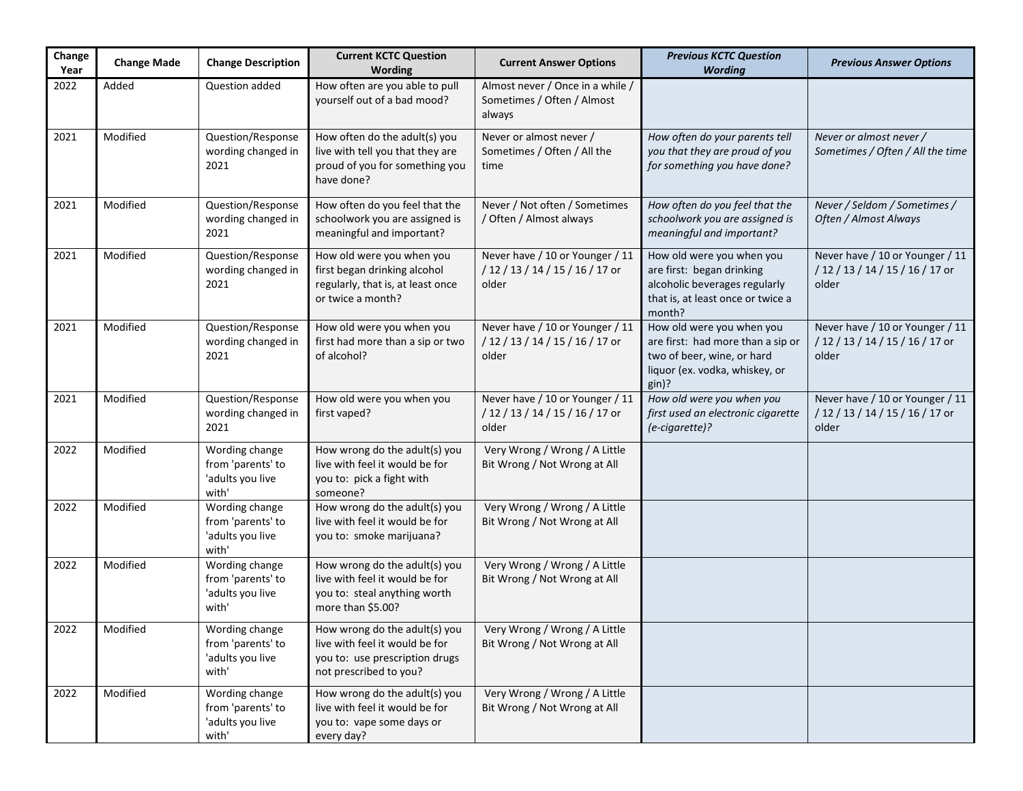| Change<br>Year | <b>Change Made</b> | <b>Change Description</b>                                        | <b>Current KCTC Question</b><br>Wording                                                                                     | <b>Current Answer Options</b>                                                | <b>Previous KCTC Question</b><br><b>Wording</b>                                                                                         | <b>Previous Answer Options</b>                                               |
|----------------|--------------------|------------------------------------------------------------------|-----------------------------------------------------------------------------------------------------------------------------|------------------------------------------------------------------------------|-----------------------------------------------------------------------------------------------------------------------------------------|------------------------------------------------------------------------------|
| 2022           | Added              | Question added                                                   | How often are you able to pull<br>yourself out of a bad mood?                                                               | Almost never / Once in a while /<br>Sometimes / Often / Almost<br>always     |                                                                                                                                         |                                                                              |
| 2021           | Modified           | Question/Response<br>wording changed in<br>2021                  | How often do the adult(s) you<br>live with tell you that they are<br>proud of you for something you<br>have done?           | Never or almost never /<br>Sometimes / Often / All the<br>time               | How often do your parents tell<br>you that they are proud of you<br>for something you have done?                                        | Never or almost never /<br>Sometimes / Often / All the time                  |
| 2021           | Modified           | Question/Response<br>wording changed in<br>2021                  | How often do you feel that the<br>schoolwork you are assigned is<br>meaningful and important?                               | Never / Not often / Sometimes<br>/ Often / Almost always                     | How often do you feel that the<br>schoolwork you are assigned is<br>meaningful and important?                                           | Never / Seldom / Sometimes /<br>Often / Almost Always                        |
| 2021           | Modified           | Question/Response<br>wording changed in<br>2021                  | How old were you when you<br>first began drinking alcohol<br>regularly, that is, at least once<br>or twice a month?         | Never have / 10 or Younger / 11<br>/ 12 / 13 / 14 / 15 / 16 / 17 or<br>older | How old were you when you<br>are first: began drinking<br>alcoholic beverages regularly<br>that is, at least once or twice a<br>month?  | Never have / 10 or Younger / 11<br>/ 12 / 13 / 14 / 15 / 16 / 17 or<br>older |
| 2021           | Modified           | Question/Response<br>wording changed in<br>2021                  | How old were you when you<br>first had more than a sip or two<br>of alcohol?                                                | Never have / 10 or Younger / 11<br>/ 12 / 13 / 14 / 15 / 16 / 17 or<br>older | How old were you when you<br>are first: had more than a sip or<br>two of beer, wine, or hard<br>liquor (ex. vodka, whiskey, or<br>gin)? | Never have / 10 or Younger / 11<br>/ 12 / 13 / 14 / 15 / 16 / 17 or<br>older |
| 2021           | Modified           | Question/Response<br>wording changed in<br>2021                  | How old were you when you<br>first vaped?                                                                                   | Never have / 10 or Younger / 11<br>/ 12 / 13 / 14 / 15 / 16 / 17 or<br>older | How old were you when you<br>first used an electronic cigarette<br>(e-cigarette)?                                                       | Never have / 10 or Younger / 11<br>/ 12 / 13 / 14 / 15 / 16 / 17 or<br>older |
| 2022           | Modified           | Wording change<br>from 'parents' to<br>'adults you live<br>with' | How wrong do the adult(s) you<br>live with feel it would be for<br>you to: pick a fight with<br>someone?                    | Very Wrong / Wrong / A Little<br>Bit Wrong / Not Wrong at All                |                                                                                                                                         |                                                                              |
| 2022           | Modified           | Wording change<br>from 'parents' to<br>'adults you live<br>with' | How wrong do the adult(s) you<br>live with feel it would be for<br>you to: smoke marijuana?                                 | Very Wrong / Wrong / A Little<br>Bit Wrong / Not Wrong at All                |                                                                                                                                         |                                                                              |
| 2022           | Modified           | Wording change<br>from 'parents' to<br>'adults you live<br>with' | How wrong do the adult(s) you<br>live with feel it would be for<br>you to: steal anything worth<br>more than \$5.00?        | Very Wrong / Wrong / A Little<br>Bit Wrong / Not Wrong at All                |                                                                                                                                         |                                                                              |
| 2022           | Modified           | Wording change<br>from 'parents' to<br>'adults you live<br>with' | How wrong do the adult(s) you<br>live with feel it would be for<br>you to: use prescription drugs<br>not prescribed to you? | Very Wrong / Wrong / A Little<br>Bit Wrong / Not Wrong at All                |                                                                                                                                         |                                                                              |
| 2022           | Modified           | Wording change<br>from 'parents' to<br>'adults you live<br>with' | How wrong do the adult(s) you<br>live with feel it would be for<br>you to: vape some days or<br>every day?                  | Very Wrong / Wrong / A Little<br>Bit Wrong / Not Wrong at All                |                                                                                                                                         |                                                                              |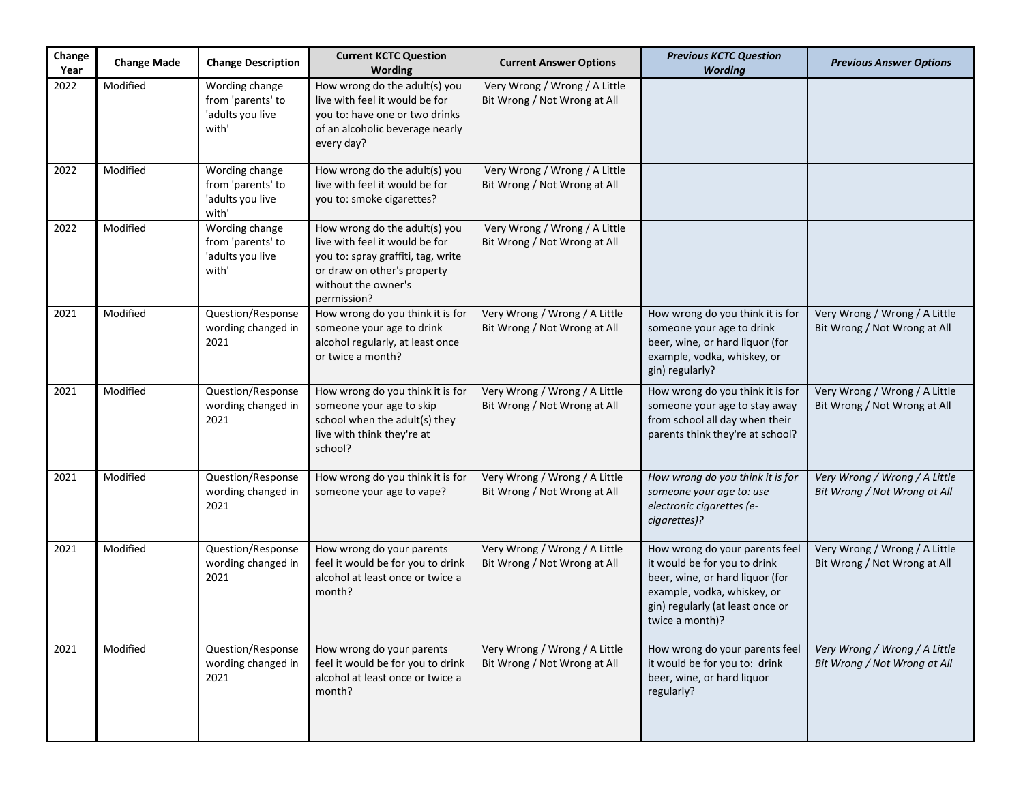| Change<br>Year | <b>Change Made</b> | <b>Change Description</b>                                        | <b>Current KCTC Question</b><br>Wording                                                                                                                                    | <b>Current Answer Options</b>                                 | <b>Previous KCTC Question</b><br><b>Wording</b>                                                                                                                                         | <b>Previous Answer Options</b>                                |
|----------------|--------------------|------------------------------------------------------------------|----------------------------------------------------------------------------------------------------------------------------------------------------------------------------|---------------------------------------------------------------|-----------------------------------------------------------------------------------------------------------------------------------------------------------------------------------------|---------------------------------------------------------------|
| 2022           | Modified           | Wording change<br>from 'parents' to<br>'adults you live<br>with' | How wrong do the adult(s) you<br>live with feel it would be for<br>you to: have one or two drinks<br>of an alcoholic beverage nearly<br>every day?                         | Very Wrong / Wrong / A Little<br>Bit Wrong / Not Wrong at All |                                                                                                                                                                                         |                                                               |
| 2022           | Modified           | Wording change<br>from 'parents' to<br>'adults you live<br>with' | How wrong do the adult(s) you<br>live with feel it would be for<br>you to: smoke cigarettes?                                                                               | Very Wrong / Wrong / A Little<br>Bit Wrong / Not Wrong at All |                                                                                                                                                                                         |                                                               |
| 2022           | Modified           | Wording change<br>from 'parents' to<br>'adults you live<br>with' | How wrong do the adult(s) you<br>live with feel it would be for<br>you to: spray graffiti, tag, write<br>or draw on other's property<br>without the owner's<br>permission? | Very Wrong / Wrong / A Little<br>Bit Wrong / Not Wrong at All |                                                                                                                                                                                         |                                                               |
| 2021           | Modified           | Question/Response<br>wording changed in<br>2021                  | How wrong do you think it is for<br>someone your age to drink<br>alcohol regularly, at least once<br>or twice a month?                                                     | Very Wrong / Wrong / A Little<br>Bit Wrong / Not Wrong at All | How wrong do you think it is for<br>someone your age to drink<br>beer, wine, or hard liquor (for<br>example, vodka, whiskey, or<br>gin) regularly?                                      | Very Wrong / Wrong / A Little<br>Bit Wrong / Not Wrong at All |
| 2021           | Modified           | Question/Response<br>wording changed in<br>2021                  | How wrong do you think it is for<br>someone your age to skip<br>school when the adult(s) they<br>live with think they're at<br>school?                                     | Very Wrong / Wrong / A Little<br>Bit Wrong / Not Wrong at All | How wrong do you think it is for<br>someone your age to stay away<br>from school all day when their<br>parents think they're at school?                                                 | Very Wrong / Wrong / A Little<br>Bit Wrong / Not Wrong at All |
| 2021           | Modified           | Question/Response<br>wording changed in<br>2021                  | How wrong do you think it is for<br>someone your age to vape?                                                                                                              | Very Wrong / Wrong / A Little<br>Bit Wrong / Not Wrong at All | How wrong do you think it is for<br>someone your age to: use<br>electronic cigarettes (e-<br>cigarettes)?                                                                               | Very Wrong / Wrong / A Little<br>Bit Wrong / Not Wrong at All |
| 2021           | Modified           | Question/Response<br>wording changed in<br>2021                  | How wrong do your parents<br>feel it would be for you to drink<br>alcohol at least once or twice a<br>month?                                                               | Very Wrong / Wrong / A Little<br>Bit Wrong / Not Wrong at All | How wrong do your parents feel<br>it would be for you to drink<br>beer, wine, or hard liquor (for<br>example, vodka, whiskey, or<br>gin) regularly (at least once or<br>twice a month)? | Very Wrong / Wrong / A Little<br>Bit Wrong / Not Wrong at All |
| 2021           | Modified           | Question/Response<br>wording changed in<br>2021                  | How wrong do your parents<br>feel it would be for you to drink<br>alcohol at least once or twice a<br>month?                                                               | Very Wrong / Wrong / A Little<br>Bit Wrong / Not Wrong at All | How wrong do your parents feel<br>it would be for you to: drink<br>beer, wine, or hard liquor<br>regularly?                                                                             | Very Wrong / Wrong / A Little<br>Bit Wrong / Not Wrong at All |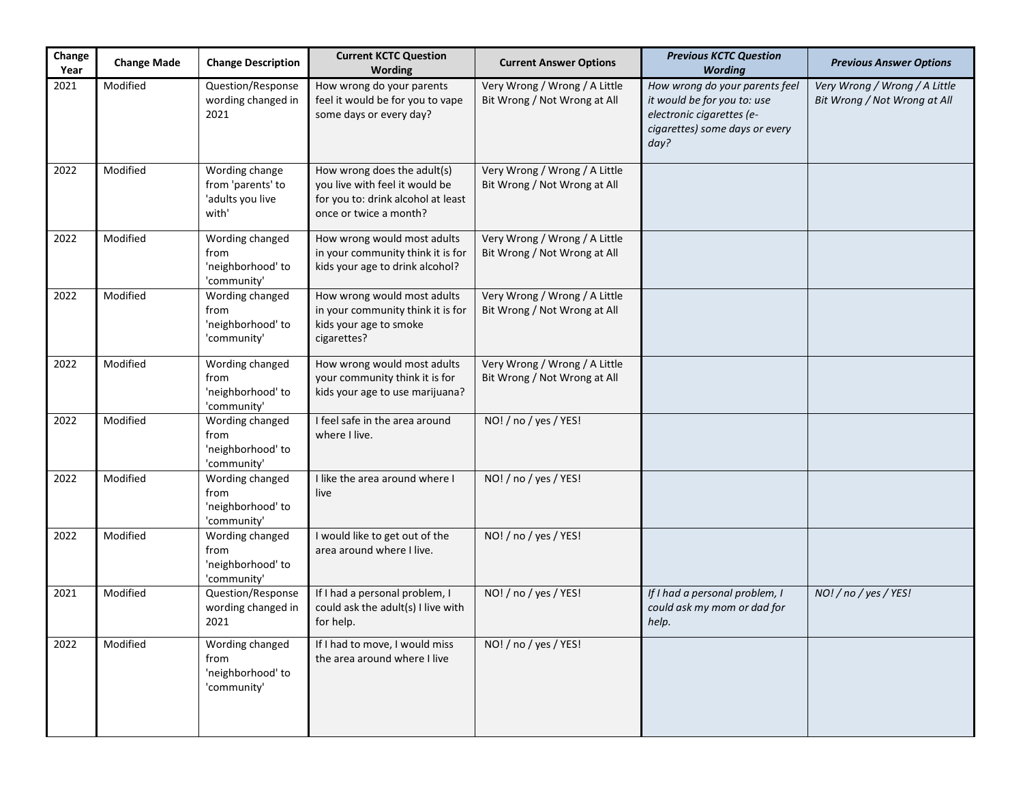| Change<br>Year | <b>Change Made</b> | <b>Change Description</b>                                        | <b>Current KCTC Question</b><br>Wording                                                                                       | <b>Current Answer Options</b>                                 | <b>Previous KCTC Question</b><br><b>Wording</b>                                                                                      | <b>Previous Answer Options</b>                                |
|----------------|--------------------|------------------------------------------------------------------|-------------------------------------------------------------------------------------------------------------------------------|---------------------------------------------------------------|--------------------------------------------------------------------------------------------------------------------------------------|---------------------------------------------------------------|
| 2021           | Modified           | Question/Response<br>wording changed in<br>2021                  | How wrong do your parents<br>feel it would be for you to vape<br>some days or every day?                                      | Very Wrong / Wrong / A Little<br>Bit Wrong / Not Wrong at All | How wrong do your parents feel<br>it would be for you to: use<br>electronic cigarettes (e-<br>cigarettes) some days or every<br>day? | Very Wrong / Wrong / A Little<br>Bit Wrong / Not Wrong at All |
| 2022           | Modified           | Wording change<br>from 'parents' to<br>'adults you live<br>with' | How wrong does the adult(s)<br>you live with feel it would be<br>for you to: drink alcohol at least<br>once or twice a month? | Very Wrong / Wrong / A Little<br>Bit Wrong / Not Wrong at All |                                                                                                                                      |                                                               |
| 2022           | Modified           | Wording changed<br>from<br>'neighborhood' to<br>'community'      | How wrong would most adults<br>in your community think it is for<br>kids your age to drink alcohol?                           | Very Wrong / Wrong / A Little<br>Bit Wrong / Not Wrong at All |                                                                                                                                      |                                                               |
| 2022           | Modified           | Wording changed<br>from<br>'neighborhood' to<br>'community'      | How wrong would most adults<br>in your community think it is for<br>kids your age to smoke<br>cigarettes?                     | Very Wrong / Wrong / A Little<br>Bit Wrong / Not Wrong at All |                                                                                                                                      |                                                               |
| 2022           | Modified           | Wording changed<br>from<br>'neighborhood' to<br>'community'      | How wrong would most adults<br>your community think it is for<br>kids your age to use marijuana?                              | Very Wrong / Wrong / A Little<br>Bit Wrong / Not Wrong at All |                                                                                                                                      |                                                               |
| 2022           | Modified           | Wording changed<br>from<br>'neighborhood' to<br>'community'      | I feel safe in the area around<br>where I live.                                                                               | NO! / no / yes / YES!                                         |                                                                                                                                      |                                                               |
| 2022           | Modified           | Wording changed<br>from<br>'neighborhood' to<br>'community'      | I like the area around where I<br>live                                                                                        | NO! / no / yes / YES!                                         |                                                                                                                                      |                                                               |
| 2022           | Modified           | Wording changed<br>from<br>'neighborhood' to<br>'community'      | I would like to get out of the<br>area around where I live.                                                                   | NO! / no / yes / YES!                                         |                                                                                                                                      |                                                               |
| 2021           | Modified           | Question/Response<br>wording changed in<br>2021                  | If I had a personal problem, I<br>could ask the adult(s) I live with<br>for help.                                             | NO! / no / yes / YES!                                         | If I had a personal problem, I<br>could ask my mom or dad for<br>help.                                                               | NO! / no / yes / YES!                                         |
| 2022           | Modified           | Wording changed<br>from<br>'neighborhood' to<br>'community'      | If I had to move, I would miss<br>the area around where I live                                                                | NO! / no / yes / YES!                                         |                                                                                                                                      |                                                               |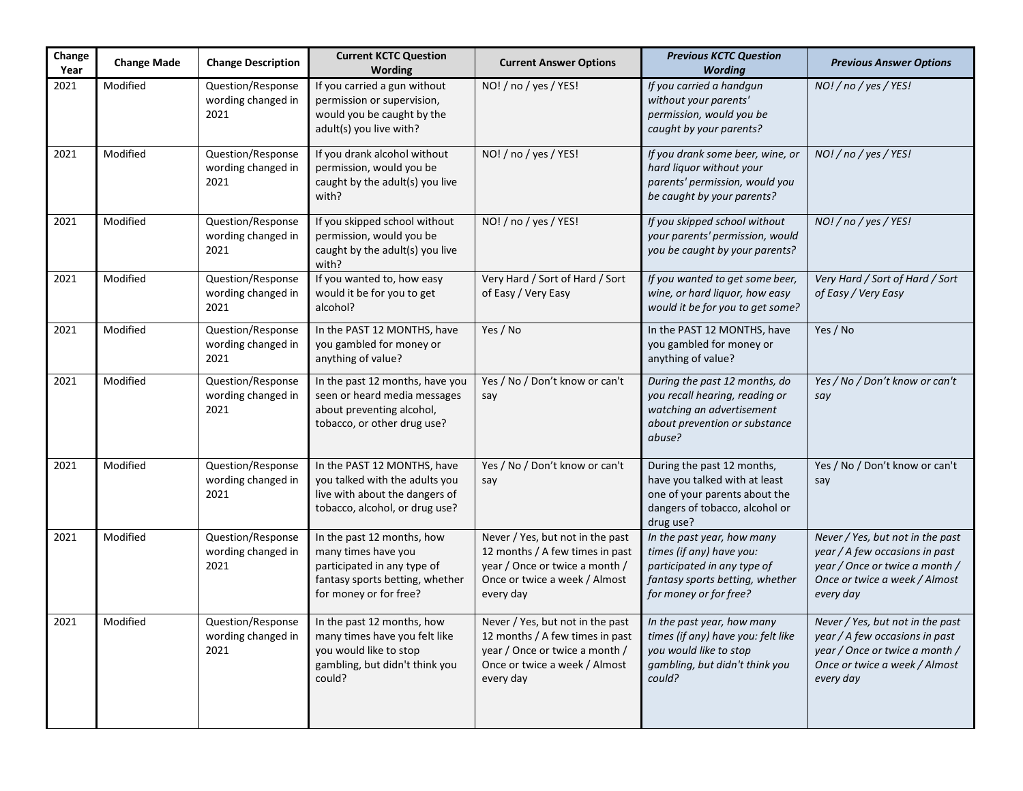| Change<br>Year | <b>Change Made</b> | <b>Change Description</b>                       | <b>Current KCTC Question</b><br>Wording                                                                                                       | <b>Current Answer Options</b>                                                                                                                       | <b>Previous KCTC Question</b><br><b>Wording</b>                                                                                                    | <b>Previous Answer Options</b>                                                                                                                     |
|----------------|--------------------|-------------------------------------------------|-----------------------------------------------------------------------------------------------------------------------------------------------|-----------------------------------------------------------------------------------------------------------------------------------------------------|----------------------------------------------------------------------------------------------------------------------------------------------------|----------------------------------------------------------------------------------------------------------------------------------------------------|
| 2021           | Modified           | Question/Response<br>wording changed in<br>2021 | If you carried a gun without<br>permission or supervision,<br>would you be caught by the<br>adult(s) you live with?                           | NO! / no / yes / YES!                                                                                                                               | If you carried a handgun<br>without your parents'<br>permission, would you be<br>caught by your parents?                                           | NO! / no / yes / YES!                                                                                                                              |
| 2021           | Modified           | Question/Response<br>wording changed in<br>2021 | If you drank alcohol without<br>permission, would you be<br>caught by the adult(s) you live<br>with?                                          | NO! / no / yes / YES!                                                                                                                               | If you drank some beer, wine, or<br>hard liquor without your<br>parents' permission, would you<br>be caught by your parents?                       | NO! / no / yes / YES!                                                                                                                              |
| 2021           | Modified           | Question/Response<br>wording changed in<br>2021 | If you skipped school without<br>permission, would you be<br>caught by the adult(s) you live<br>with?                                         | NO! / no / yes / YES!                                                                                                                               | If you skipped school without<br>your parents' permission, would<br>you be caught by your parents?                                                 | NO! / no / yes / YES!                                                                                                                              |
| 2021           | Modified           | Question/Response<br>wording changed in<br>2021 | If you wanted to, how easy<br>would it be for you to get<br>alcohol?                                                                          | Very Hard / Sort of Hard / Sort<br>of Easy / Very Easy                                                                                              | If you wanted to get some beer,<br>wine, or hard liquor, how easy<br>would it be for you to get some?                                              | Very Hard / Sort of Hard / Sort<br>of Easy / Very Easy                                                                                             |
| 2021           | Modified           | Question/Response<br>wording changed in<br>2021 | In the PAST 12 MONTHS, have<br>you gambled for money or<br>anything of value?                                                                 | Yes / No                                                                                                                                            | In the PAST 12 MONTHS, have<br>you gambled for money or<br>anything of value?                                                                      | Yes / No                                                                                                                                           |
| 2021           | Modified           | Question/Response<br>wording changed in<br>2021 | In the past 12 months, have you<br>seen or heard media messages<br>about preventing alcohol,<br>tobacco, or other drug use?                   | Yes / No / Don't know or can't<br>say                                                                                                               | During the past 12 months, do<br>you recall hearing, reading or<br>watching an advertisement<br>about prevention or substance<br>abuse?            | Yes / No / Don't know or can't<br>say                                                                                                              |
| 2021           | Modified           | Question/Response<br>wording changed in<br>2021 | In the PAST 12 MONTHS, have<br>you talked with the adults you<br>live with about the dangers of<br>tobacco, alcohol, or drug use?             | Yes / No / Don't know or can't<br>say                                                                                                               | During the past 12 months,<br>have you talked with at least<br>one of your parents about the<br>dangers of tobacco, alcohol or<br>drug use?        | Yes / No / Don't know or can't<br>say                                                                                                              |
| 2021           | Modified           | Question/Response<br>wording changed in<br>2021 | In the past 12 months, how<br>many times have you<br>participated in any type of<br>fantasy sports betting, whether<br>for money or for free? | Never / Yes, but not in the past<br>12 months / A few times in past<br>year / Once or twice a month /<br>Once or twice a week / Almost<br>every day | In the past year, how many<br>times (if any) have you:<br>participated in any type of<br>fantasy sports betting, whether<br>for money or for free? | Never / Yes, but not in the past<br>year / A few occasions in past<br>year / Once or twice a month /<br>Once or twice a week / Almost<br>every day |
| 2021           | Modified           | Question/Response<br>wording changed in<br>2021 | In the past 12 months, how<br>many times have you felt like<br>you would like to stop<br>gambling, but didn't think you<br>could?             | Never / Yes, but not in the past<br>12 months / A few times in past<br>year / Once or twice a month /<br>Once or twice a week / Almost<br>every day | In the past year, how many<br>times (if any) have you: felt like<br>you would like to stop<br>gambling, but didn't think you<br>could?             | Never / Yes, but not in the past<br>year / A few occasions in past<br>year / Once or twice a month /<br>Once or twice a week / Almost<br>every day |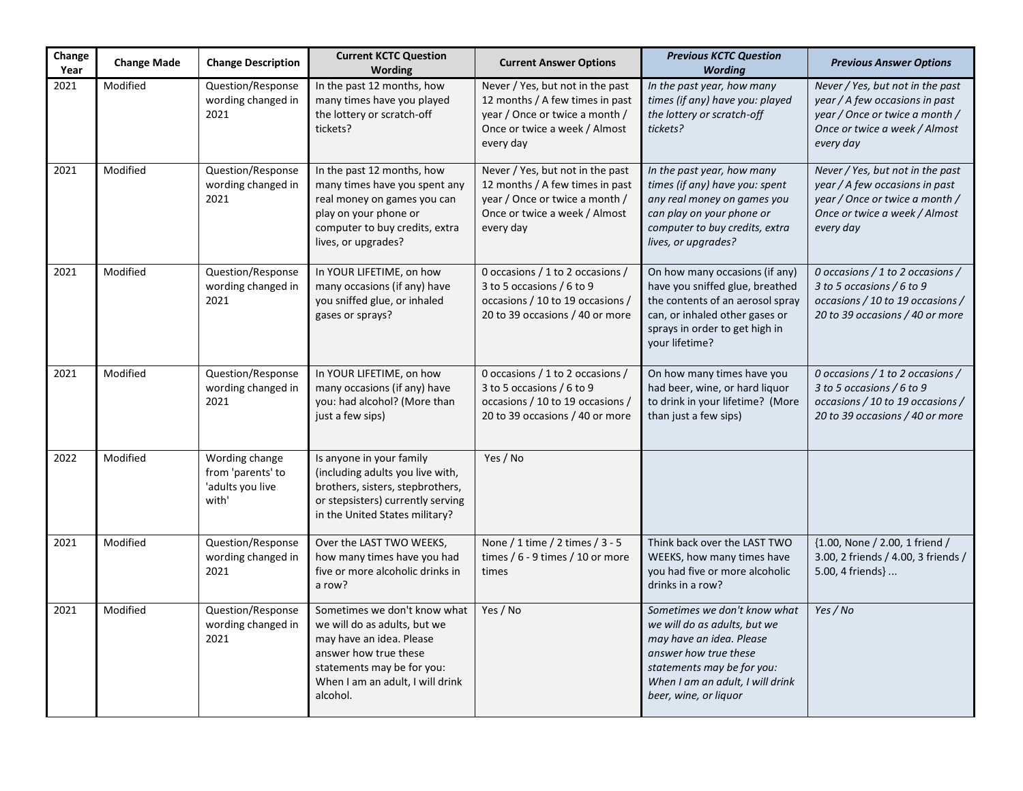| Change<br>Year | <b>Change Made</b> | <b>Change Description</b>                                        | <b>Current KCTC Question</b><br><b>Wording</b>                                                                                                                                                  | <b>Current Answer Options</b>                                                                                                                       | <b>Previous KCTC Question</b><br><b>Wording</b>                                                                                                                                                              | <b>Previous Answer Options</b>                                                                                                                     |
|----------------|--------------------|------------------------------------------------------------------|-------------------------------------------------------------------------------------------------------------------------------------------------------------------------------------------------|-----------------------------------------------------------------------------------------------------------------------------------------------------|--------------------------------------------------------------------------------------------------------------------------------------------------------------------------------------------------------------|----------------------------------------------------------------------------------------------------------------------------------------------------|
| 2021           | Modified           | Question/Response<br>wording changed in<br>2021                  | In the past 12 months, how<br>many times have you played<br>the lottery or scratch-off<br>tickets?                                                                                              | Never / Yes, but not in the past<br>12 months / A few times in past<br>year / Once or twice a month /<br>Once or twice a week / Almost<br>every day | In the past year, how many<br>times (if any) have you: played<br>the lottery or scratch-off<br>tickets?                                                                                                      | Never / Yes, but not in the past<br>year / A few occasions in past<br>year / Once or twice a month /<br>Once or twice a week / Almost<br>every day |
| 2021           | Modified           | Question/Response<br>wording changed in<br>2021                  | In the past 12 months, how<br>many times have you spent any<br>real money on games you can<br>play on your phone or<br>computer to buy credits, extra<br>lives, or upgrades?                    | Never / Yes, but not in the past<br>12 months / A few times in past<br>year / Once or twice a month /<br>Once or twice a week / Almost<br>every day | In the past year, how many<br>times (if any) have you: spent<br>any real money on games you<br>can play on your phone or<br>computer to buy credits, extra<br>lives, or upgrades?                            | Never / Yes, but not in the past<br>year / A few occasions in past<br>year / Once or twice a month /<br>Once or twice a week / Almost<br>every day |
| 2021           | Modified           | Question/Response<br>wording changed in<br>2021                  | In YOUR LIFETIME, on how<br>many occasions (if any) have<br>you sniffed glue, or inhaled<br>gases or sprays?                                                                                    | 0 occasions / 1 to 2 occasions /<br>3 to 5 occasions / 6 to 9<br>occasions / 10 to 19 occasions /<br>20 to 39 occasions / 40 or more                | On how many occasions (if any)<br>have you sniffed glue, breathed<br>the contents of an aerosol spray<br>can, or inhaled other gases or<br>sprays in order to get high in<br>your lifetime?                  | 0 occasions / 1 to 2 occasions /<br>3 to 5 occasions / 6 to 9<br>occasions / 10 to 19 occasions /<br>20 to 39 occasions / 40 or more               |
| 2021           | Modified           | Question/Response<br>wording changed in<br>2021                  | In YOUR LIFETIME, on how<br>many occasions (if any) have<br>you: had alcohol? (More than<br>just a few sips)                                                                                    | 0 occasions / 1 to 2 occasions /<br>3 to 5 occasions / 6 to 9<br>occasions / 10 to 19 occasions /<br>20 to 39 occasions / 40 or more                | On how many times have you<br>had beer, wine, or hard liquor<br>to drink in your lifetime? (More<br>than just a few sips)                                                                                    | 0 occasions / 1 to 2 occasions /<br>3 to 5 occasions / 6 to 9<br>occasions / 10 to 19 occasions /<br>20 to 39 occasions / 40 or more               |
| 2022           | Modified           | Wording change<br>from 'parents' to<br>'adults you live<br>with' | Is anyone in your family<br>(including adults you live with,<br>brothers, sisters, stepbrothers,<br>or stepsisters) currently serving<br>in the United States military?                         | Yes / No                                                                                                                                            |                                                                                                                                                                                                              |                                                                                                                                                    |
| 2021           | Modified           | Question/Response<br>wording changed in<br>2021                  | Over the LAST TWO WEEKS,<br>how many times have you had<br>five or more alcoholic drinks in<br>a row?                                                                                           | None / 1 time / 2 times / 3 - 5<br>times / $6 - 9$ times / 10 or more<br>times                                                                      | Think back over the LAST TWO<br>WEEKS, how many times have<br>you had five or more alcoholic<br>drinks in a row?                                                                                             | {1.00, None / 2.00, 1 friend /<br>3.00, 2 friends / 4.00, 3 friends /<br>5.00, 4 friends }                                                         |
| 2021           | Modified           | Question/Response<br>wording changed in<br>2021                  | Sometimes we don't know what<br>we will do as adults, but we<br>may have an idea. Please<br>answer how true these<br>statements may be for you:<br>When I am an adult, I will drink<br>alcohol. | Yes / No                                                                                                                                            | Sometimes we don't know what<br>we will do as adults, but we<br>may have an idea. Please<br>answer how true these<br>statements may be for you:<br>When I am an adult, I will drink<br>beer, wine, or liquor | Yes / No                                                                                                                                           |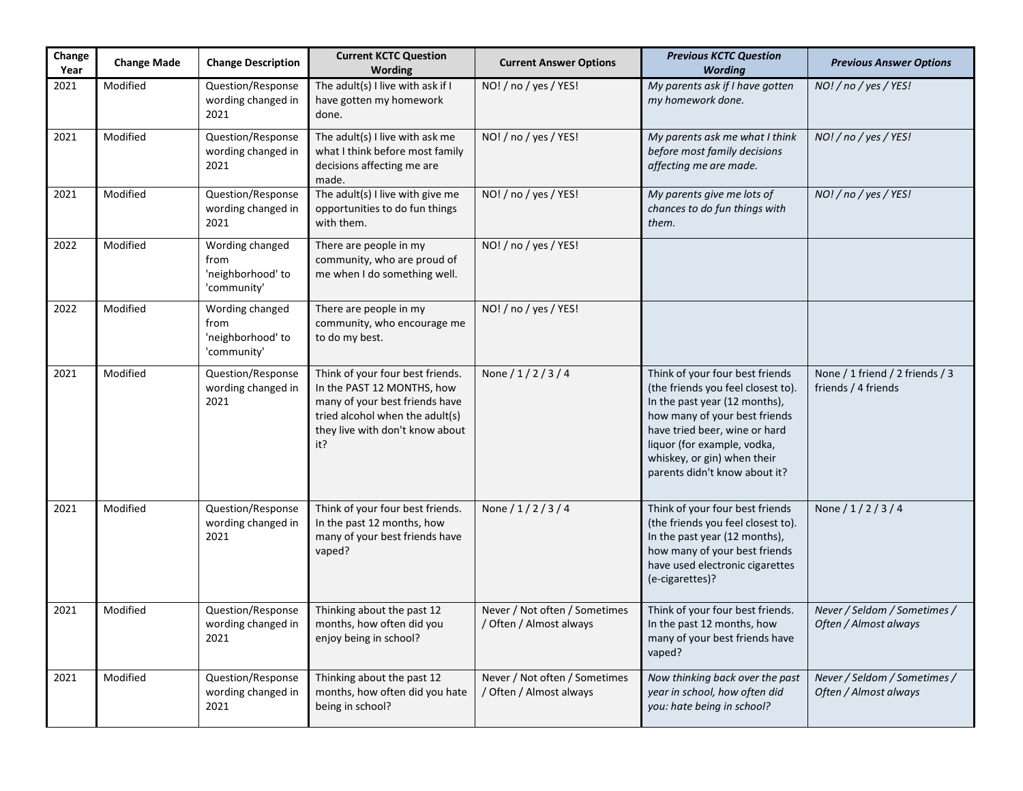| Change<br>Year | <b>Change Made</b> | <b>Change Description</b>                                   | <b>Current KCTC Question</b><br>Wording                                                                                                                                       | <b>Current Answer Options</b>                            | <b>Previous KCTC Question</b><br><b>Wording</b>                                                                                                                                                                                                                         | <b>Previous Answer Options</b>                         |
|----------------|--------------------|-------------------------------------------------------------|-------------------------------------------------------------------------------------------------------------------------------------------------------------------------------|----------------------------------------------------------|-------------------------------------------------------------------------------------------------------------------------------------------------------------------------------------------------------------------------------------------------------------------------|--------------------------------------------------------|
| 2021           | Modified           | Question/Response<br>wording changed in<br>2021             | The adult(s) I live with ask if I<br>have gotten my homework<br>done.                                                                                                         | NO! / no / yes / YES!                                    | My parents ask if I have gotten<br>my homework done.                                                                                                                                                                                                                    | NO! / no / yes / YES!                                  |
| 2021           | Modified           | Question/Response<br>wording changed in<br>2021             | The adult(s) I live with ask me<br>what I think before most family<br>decisions affecting me are<br>made.                                                                     | NO! / no / yes / YES!                                    | My parents ask me what I think<br>before most family decisions<br>affecting me are made.                                                                                                                                                                                | NO! / no / yes / YES!                                  |
| 2021           | Modified           | Question/Response<br>wording changed in<br>2021             | The adult(s) I live with give me<br>opportunities to do fun things<br>with them.                                                                                              | NO! / no / yes / YES!                                    | My parents give me lots of<br>chances to do fun things with<br>them.                                                                                                                                                                                                    | NO! / no / yes / YES!                                  |
| 2022           | Modified           | Wording changed<br>from<br>'neighborhood' to<br>'community' | There are people in my<br>community, who are proud of<br>me when I do something well.                                                                                         | NO! / no / yes / YES!                                    |                                                                                                                                                                                                                                                                         |                                                        |
| 2022           | Modified           | Wording changed<br>from<br>'neighborhood' to<br>'community' | There are people in my<br>community, who encourage me<br>to do my best.                                                                                                       | NO! / no / yes / YES!                                    |                                                                                                                                                                                                                                                                         |                                                        |
| 2021           | Modified           | Question/Response<br>wording changed in<br>2021             | Think of your four best friends.<br>In the PAST 12 MONTHS, how<br>many of your best friends have<br>tried alcohol when the adult(s)<br>they live with don't know about<br>it? | None $/ 1 / 2 / 3 / 4$                                   | Think of your four best friends<br>(the friends you feel closest to).<br>In the past year (12 months),<br>how many of your best friends<br>have tried beer, wine or hard<br>liquor (for example, vodka,<br>whiskey, or gin) when their<br>parents didn't know about it? | None / 1 friend / 2 friends / 3<br>friends / 4 friends |
| 2021           | Modified           | Question/Response<br>wording changed in<br>2021             | Think of your four best friends.<br>In the past 12 months, how<br>many of your best friends have<br>vaped?                                                                    | None / 1/2/3/4                                           | Think of your four best friends<br>(the friends you feel closest to).<br>In the past year (12 months),<br>how many of your best friends<br>have used electronic cigarettes<br>(e-cigarettes)?                                                                           | None $/ 1 / 2 / 3 / 4$                                 |
| 2021           | Modified           | Question/Response<br>wording changed in<br>2021             | Thinking about the past 12<br>months, how often did you<br>enjoy being in school?                                                                                             | Never / Not often / Sometimes<br>/ Often / Almost always | Think of your four best friends.<br>In the past 12 months, how<br>many of your best friends have<br>vaped?                                                                                                                                                              | Never / Seldom / Sometimes /<br>Often / Almost always  |
| 2021           | Modified           | Question/Response<br>wording changed in<br>2021             | Thinking about the past 12<br>months, how often did you hate<br>being in school?                                                                                              | Never / Not often / Sometimes<br>/ Often / Almost always | Now thinking back over the past<br>year in school, how often did<br>you: hate being in school?                                                                                                                                                                          | Never / Seldom / Sometimes /<br>Often / Almost always  |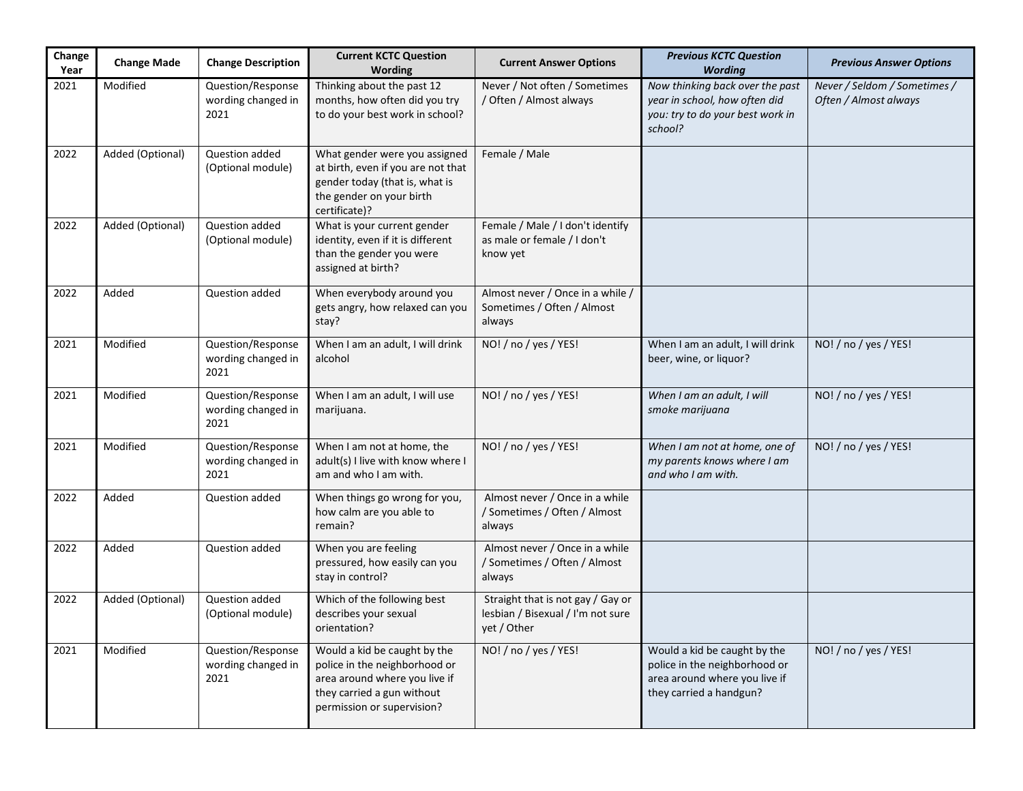| Change<br>Year | <b>Change Made</b> | <b>Change Description</b>                       | <b>Current KCTC Question</b><br><b>Wording</b>                                                                                                             | <b>Current Answer Options</b>                                                         | <b>Previous KCTC Question</b><br><b>Wording</b>                                                                           | <b>Previous Answer Options</b>                        |
|----------------|--------------------|-------------------------------------------------|------------------------------------------------------------------------------------------------------------------------------------------------------------|---------------------------------------------------------------------------------------|---------------------------------------------------------------------------------------------------------------------------|-------------------------------------------------------|
| 2021           | Modified           | Question/Response<br>wording changed in<br>2021 | Thinking about the past 12<br>months, how often did you try<br>to do your best work in school?                                                             | Never / Not often / Sometimes<br>/ Often / Almost always                              | Now thinking back over the past<br>year in school, how often did<br>you: try to do your best work in<br>school?           | Never / Seldom / Sometimes /<br>Often / Almost always |
| 2022           | Added (Optional)   | Question added<br>(Optional module)             | What gender were you assigned<br>at birth, even if you are not that<br>gender today (that is, what is<br>the gender on your birth<br>certificate)?         | Female / Male                                                                         |                                                                                                                           |                                                       |
| 2022           | Added (Optional)   | Question added<br>(Optional module)             | What is your current gender<br>identity, even if it is different<br>than the gender you were<br>assigned at birth?                                         | Female / Male / I don't identify<br>as male or female / I don't<br>know yet           |                                                                                                                           |                                                       |
| 2022           | Added              | Question added                                  | When everybody around you<br>gets angry, how relaxed can you<br>stay?                                                                                      | Almost never / Once in a while /<br>Sometimes / Often / Almost<br>always              |                                                                                                                           |                                                       |
| 2021           | Modified           | Question/Response<br>wording changed in<br>2021 | When I am an adult, I will drink<br>alcohol                                                                                                                | NO! / no / yes / YES!                                                                 | When I am an adult, I will drink<br>beer, wine, or liquor?                                                                | NO! / no / yes / YES!                                 |
| 2021           | Modified           | Question/Response<br>wording changed in<br>2021 | When I am an adult, I will use<br>marijuana.                                                                                                               | NO! / no / yes / YES!                                                                 | When I am an adult, I will<br>smoke marijuana                                                                             | NO! / no / yes / YES!                                 |
| 2021           | Modified           | Question/Response<br>wording changed in<br>2021 | When I am not at home, the<br>adult(s) I live with know where I<br>am and who I am with.                                                                   | NO! / no / yes / YES!                                                                 | When I am not at home, one of<br>my parents knows where I am<br>and who I am with.                                        | NO! / no / yes / YES!                                 |
| 2022           | Added              | Question added                                  | When things go wrong for you,<br>how calm are you able to<br>remain?                                                                                       | Almost never / Once in a while<br>/ Sometimes / Often / Almost<br>always              |                                                                                                                           |                                                       |
| 2022           | Added              | Question added                                  | When you are feeling<br>pressured, how easily can you<br>stay in control?                                                                                  | Almost never / Once in a while<br>/ Sometimes / Often / Almost<br>always              |                                                                                                                           |                                                       |
| 2022           | Added (Optional)   | Question added<br>(Optional module)             | Which of the following best<br>describes your sexual<br>orientation?                                                                                       | Straight that is not gay / Gay or<br>lesbian / Bisexual / I'm not sure<br>yet / Other |                                                                                                                           |                                                       |
| 2021           | Modified           | Question/Response<br>wording changed in<br>2021 | Would a kid be caught by the<br>police in the neighborhood or<br>area around where you live if<br>they carried a gun without<br>permission or supervision? | NO! / no / yes / YES!                                                                 | Would a kid be caught by the<br>police in the neighborhood or<br>area around where you live if<br>they carried a handgun? | NO! / no / yes / YES!                                 |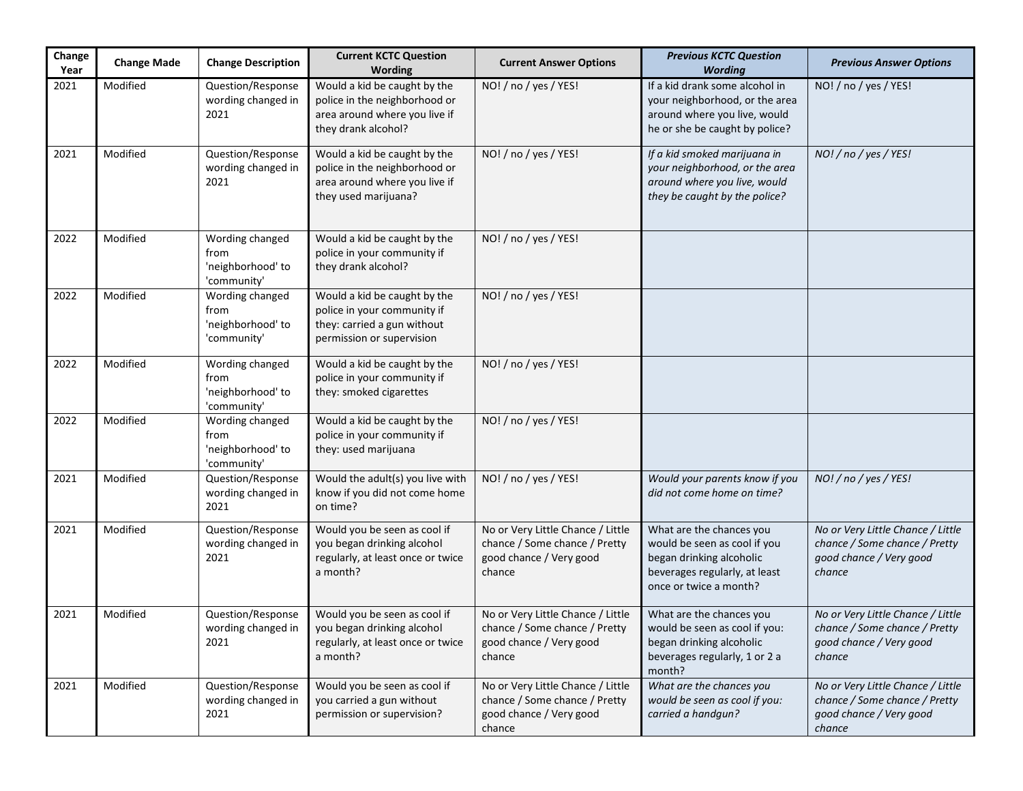| Change<br>Year | <b>Change Made</b> | <b>Change Description</b>                                   | <b>Current KCTC Question</b><br>Wording                                                                                 | <b>Current Answer Options</b>                                                                           | <b>Previous KCTC Question</b><br><b>Wording</b>                                                                                                 | <b>Previous Answer Options</b>                                                                          |
|----------------|--------------------|-------------------------------------------------------------|-------------------------------------------------------------------------------------------------------------------------|---------------------------------------------------------------------------------------------------------|-------------------------------------------------------------------------------------------------------------------------------------------------|---------------------------------------------------------------------------------------------------------|
| 2021           | Modified           | Question/Response<br>wording changed in<br>2021             | Would a kid be caught by the<br>police in the neighborhood or<br>area around where you live if<br>they drank alcohol?   | NO! / no / yes / YES!                                                                                   | If a kid drank some alcohol in<br>your neighborhood, or the area<br>around where you live, would<br>he or she be caught by police?              | NO! / no / yes / YES!                                                                                   |
| 2021           | Modified           | Question/Response<br>wording changed in<br>2021             | Would a kid be caught by the<br>police in the neighborhood or<br>area around where you live if<br>they used marijuana?  | NO! / no / yes / YES!                                                                                   | If a kid smoked marijuana in<br>your neighborhood, or the area<br>around where you live, would<br>they be caught by the police?                 | NO! / no / yes / YES!                                                                                   |
| 2022           | Modified           | Wording changed<br>from<br>'neighborhood' to<br>'community' | Would a kid be caught by the<br>police in your community if<br>they drank alcohol?                                      | NO! / no / yes / YES!                                                                                   |                                                                                                                                                 |                                                                                                         |
| 2022           | Modified           | Wording changed<br>from<br>'neighborhood' to<br>'community' | Would a kid be caught by the<br>police in your community if<br>they: carried a gun without<br>permission or supervision | NO! / no / yes / YES!                                                                                   |                                                                                                                                                 |                                                                                                         |
| 2022           | Modified           | Wording changed<br>from<br>'neighborhood' to<br>'community' | Would a kid be caught by the<br>police in your community if<br>they: smoked cigarettes                                  | NO! / no / yes / YES!                                                                                   |                                                                                                                                                 |                                                                                                         |
| 2022           | Modified           | Wording changed<br>from<br>'neighborhood' to<br>'community' | Would a kid be caught by the<br>police in your community if<br>they: used marijuana                                     | NO! / no / yes / YES!                                                                                   |                                                                                                                                                 |                                                                                                         |
| 2021           | Modified           | Question/Response<br>wording changed in<br>2021             | Would the adult(s) you live with<br>know if you did not come home<br>on time?                                           | NO! / no / yes / YES!                                                                                   | Would your parents know if you<br>did not come home on time?                                                                                    | NO! / no / yes / YES!                                                                                   |
| 2021           | Modified           | Question/Response<br>wording changed in<br>2021             | Would you be seen as cool if<br>you began drinking alcohol<br>regularly, at least once or twice<br>a month?             | No or Very Little Chance / Little<br>chance / Some chance / Pretty<br>good chance / Very good<br>chance | What are the chances you<br>would be seen as cool if you<br>began drinking alcoholic<br>beverages regularly, at least<br>once or twice a month? | No or Very Little Chance / Little<br>chance / Some chance / Pretty<br>good chance / Very good<br>chance |
| 2021           | Modified           | Question/Response<br>wording changed in<br>2021             | Would you be seen as cool if<br>you began drinking alcohol<br>regularly, at least once or twice<br>a month?             | No or Very Little Chance / Little<br>chance / Some chance / Pretty<br>good chance / Very good<br>chance | What are the chances you<br>would be seen as cool if you:<br>began drinking alcoholic<br>beverages regularly, 1 or 2 a<br>month?                | No or Very Little Chance / Little<br>chance / Some chance / Pretty<br>good chance / Very good<br>chance |
| 2021           | Modified           | Question/Response<br>wording changed in<br>2021             | Would you be seen as cool if<br>you carried a gun without<br>permission or supervision?                                 | No or Very Little Chance / Little<br>chance / Some chance / Pretty<br>good chance / Very good<br>chance | What are the chances you<br>would be seen as cool if you:<br>carried a handgun?                                                                 | No or Very Little Chance / Little<br>chance / Some chance / Pretty<br>good chance / Very good<br>chance |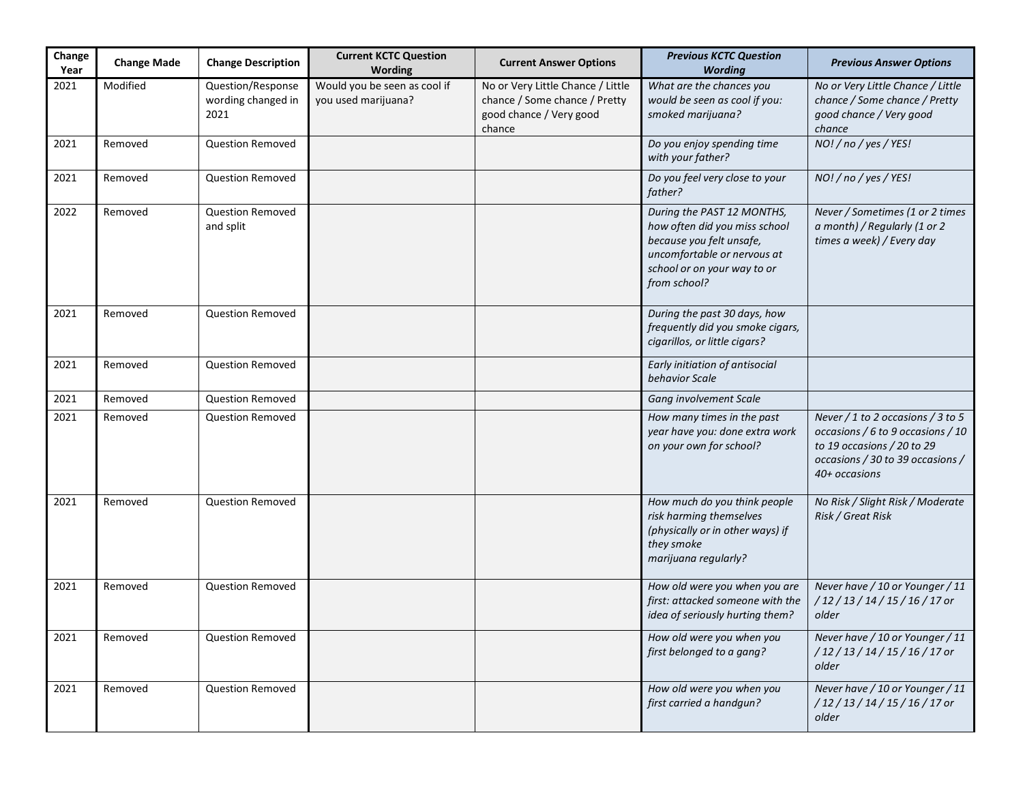| Change<br>Year | <b>Change Made</b> | <b>Change Description</b>                       | <b>Current KCTC Question</b><br>Wording             | <b>Current Answer Options</b>                                                                           | <b>Previous KCTC Question</b><br><b>Wording</b>                                                                                                                       | <b>Previous Answer Options</b>                                                                                                                            |
|----------------|--------------------|-------------------------------------------------|-----------------------------------------------------|---------------------------------------------------------------------------------------------------------|-----------------------------------------------------------------------------------------------------------------------------------------------------------------------|-----------------------------------------------------------------------------------------------------------------------------------------------------------|
| 2021           | Modified           | Question/Response<br>wording changed in<br>2021 | Would you be seen as cool if<br>you used marijuana? | No or Very Little Chance / Little<br>chance / Some chance / Pretty<br>good chance / Very good<br>chance | What are the chances you<br>would be seen as cool if you:<br>smoked marijuana?                                                                                        | No or Very Little Chance / Little<br>chance / Some chance / Pretty<br>good chance / Very good<br>chance                                                   |
| 2021           | Removed            | Question Removed                                |                                                     |                                                                                                         | Do you enjoy spending time<br>with your father?                                                                                                                       | NO! / no / yes / YES!                                                                                                                                     |
| 2021           | Removed            | Question Removed                                |                                                     |                                                                                                         | Do you feel very close to your<br>father?                                                                                                                             | NO! / no / yes / YES!                                                                                                                                     |
| 2022           | Removed            | <b>Question Removed</b><br>and split            |                                                     |                                                                                                         | During the PAST 12 MONTHS,<br>how often did you miss school<br>because you felt unsafe,<br>uncomfortable or nervous at<br>school or on your way to or<br>from school? | Never / Sometimes (1 or 2 times<br>a month) / Regularly (1 or 2<br>times a week) / Every day                                                              |
| 2021           | Removed            | <b>Question Removed</b>                         |                                                     |                                                                                                         | During the past 30 days, how<br>frequently did you smoke cigars,<br>cigarillos, or little cigars?                                                                     |                                                                                                                                                           |
| 2021           | Removed            | Question Removed                                |                                                     |                                                                                                         | Early initiation of antisocial<br>behavior Scale                                                                                                                      |                                                                                                                                                           |
| 2021           | Removed            | <b>Question Removed</b>                         |                                                     |                                                                                                         | Gang involvement Scale                                                                                                                                                |                                                                                                                                                           |
| 2021           | Removed            | <b>Question Removed</b>                         |                                                     |                                                                                                         | How many times in the past<br>year have you: done extra work<br>on your own for school?                                                                               | Never / 1 to 2 occasions / 3 to 5<br>occasions / 6 to 9 occasions / 10<br>to 19 occasions / 20 to 29<br>occasions / 30 to 39 occasions /<br>40+ occasions |
| 2021           | Removed            | <b>Question Removed</b>                         |                                                     |                                                                                                         | How much do you think people<br>risk harming themselves<br>(physically or in other ways) if<br>they smoke<br>marijuana regularly?                                     | No Risk / Slight Risk / Moderate<br>Risk / Great Risk                                                                                                     |
| 2021           | Removed            | <b>Question Removed</b>                         |                                                     |                                                                                                         | How old were you when you are<br>first: attacked someone with the<br>idea of seriously hurting them?                                                                  | Never have / 10 or Younger / 11<br>/12/13/14/15/16/17 or<br>older                                                                                         |
| 2021           | Removed            | <b>Question Removed</b>                         |                                                     |                                                                                                         | How old were you when you<br>first belonged to a gang?                                                                                                                | Never have / 10 or Younger / 11<br>/12/13/14/15/16/17 or<br>older                                                                                         |
| 2021           | Removed            | <b>Question Removed</b>                         |                                                     |                                                                                                         | How old were you when you<br>first carried a handgun?                                                                                                                 | Never have / 10 or Younger / 11<br>/12/13/14/15/16/17 or<br>older                                                                                         |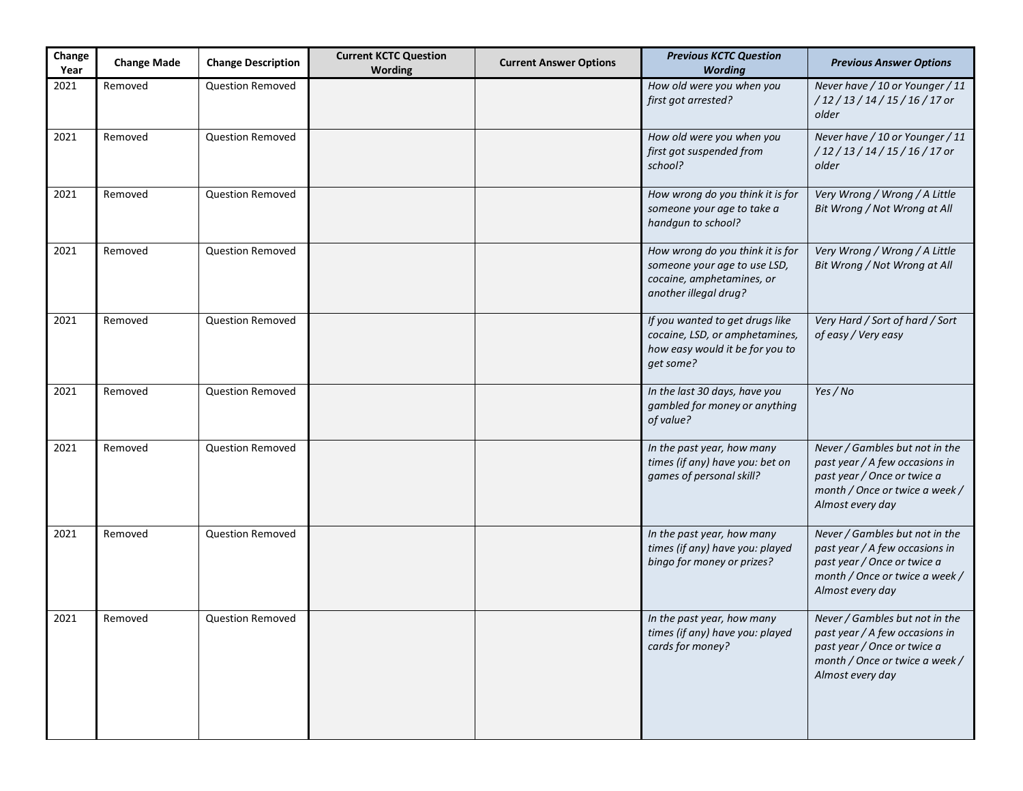| Change<br>Year | <b>Change Made</b> | <b>Change Description</b> | <b>Current KCTC Question</b><br><b>Wording</b> | <b>Current Answer Options</b> | <b>Previous KCTC Question</b><br><b>Wording</b>                                                                        | <b>Previous Answer Options</b>                                                                                                                        |
|----------------|--------------------|---------------------------|------------------------------------------------|-------------------------------|------------------------------------------------------------------------------------------------------------------------|-------------------------------------------------------------------------------------------------------------------------------------------------------|
| 2021           | Removed            | <b>Question Removed</b>   |                                                |                               | How old were you when you<br>first got arrested?                                                                       | Never have / 10 or Younger / 11<br>/12/13/14/15/16/17 or<br>older                                                                                     |
| 2021           | Removed            | <b>Question Removed</b>   |                                                |                               | How old were you when you<br>first got suspended from<br>school?                                                       | Never have / 10 or Younger / 11<br>/12/13/14/15/16/17 or<br>older                                                                                     |
| 2021           | Removed            | Question Removed          |                                                |                               | How wrong do you think it is for<br>someone your age to take a<br>handgun to school?                                   | Very Wrong / Wrong / A Little<br>Bit Wrong / Not Wrong at All                                                                                         |
| 2021           | Removed            | Question Removed          |                                                |                               | How wrong do you think it is for<br>someone your age to use LSD,<br>cocaine, amphetamines, or<br>another illegal drug? | Very Wrong / Wrong / A Little<br>Bit Wrong / Not Wrong at All                                                                                         |
| 2021           | Removed            | Question Removed          |                                                |                               | If you wanted to get drugs like<br>cocaine, LSD, or amphetamines,<br>how easy would it be for you to<br>qet some?      | Very Hard / Sort of hard / Sort<br>of easy / Very easy                                                                                                |
| 2021           | Removed            | Question Removed          |                                                |                               | In the last 30 days, have you<br>gambled for money or anything<br>of value?                                            | Yes / No                                                                                                                                              |
| 2021           | Removed            | <b>Question Removed</b>   |                                                |                               | In the past year, how many<br>times (if any) have you: bet on<br>games of personal skill?                              | Never / Gambles but not in the<br>past year / A few occasions in<br>past year / Once or twice a<br>month / Once or twice a week /<br>Almost every day |
| 2021           | Removed            | <b>Question Removed</b>   |                                                |                               | In the past year, how many<br>times (if any) have you: played<br>bingo for money or prizes?                            | Never / Gambles but not in the<br>past year / A few occasions in<br>past year / Once or twice a<br>month / Once or twice a week /<br>Almost every day |
| 2021           | Removed            | <b>Question Removed</b>   |                                                |                               | In the past year, how many<br>times (if any) have you: played<br>cards for money?                                      | Never / Gambles but not in the<br>past year / A few occasions in<br>past year / Once or twice a<br>month / Once or twice a week /<br>Almost every day |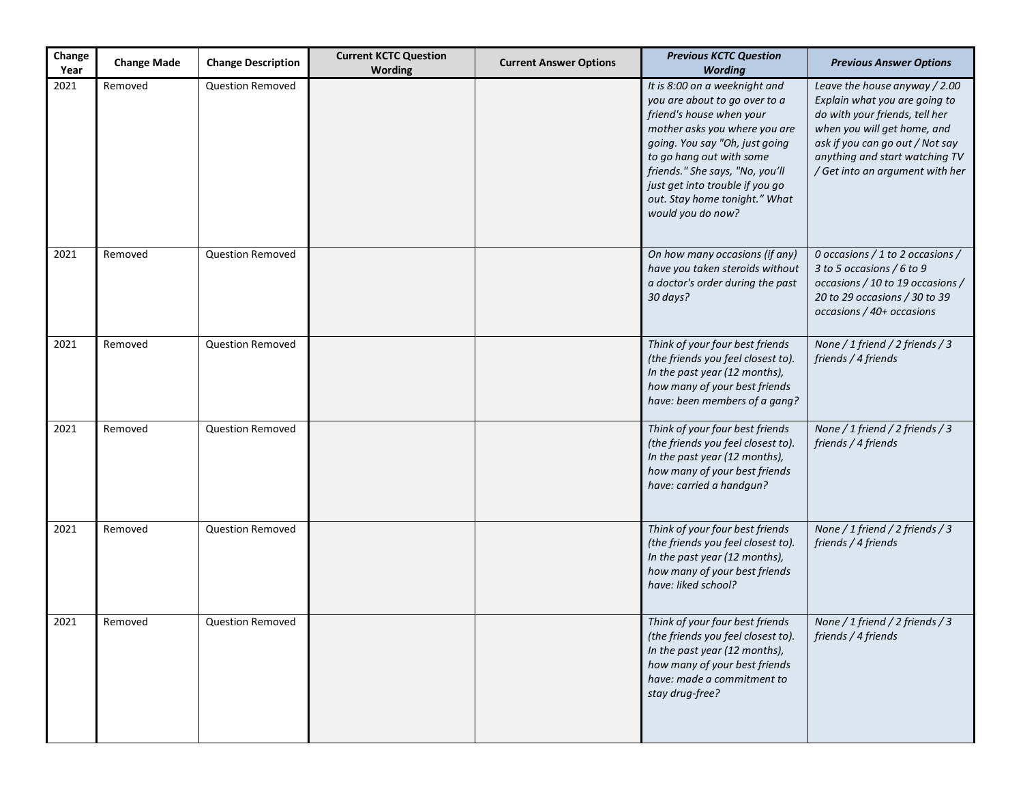| Change<br>Year | <b>Change Made</b> | <b>Change Description</b> | <b>Current KCTC Question</b><br><b>Wording</b> | <b>Current Answer Options</b> | <b>Previous KCTC Question</b><br><b>Wording</b>                                                                                                                                                                                                                                                                       | <b>Previous Answer Options</b>                                                                                                                                                                                                          |
|----------------|--------------------|---------------------------|------------------------------------------------|-------------------------------|-----------------------------------------------------------------------------------------------------------------------------------------------------------------------------------------------------------------------------------------------------------------------------------------------------------------------|-----------------------------------------------------------------------------------------------------------------------------------------------------------------------------------------------------------------------------------------|
| 2021           | Removed            | <b>Question Removed</b>   |                                                |                               | It is 8:00 on a weeknight and<br>you are about to go over to a<br>friend's house when your<br>mother asks you where you are<br>going. You say "Oh, just going<br>to go hang out with some<br>friends." She says, "No, you'll<br>just get into trouble if you go<br>out. Stay home tonight." What<br>would you do now? | Leave the house anyway / 2.00<br>Explain what you are going to<br>do with your friends, tell her<br>when you will get home, and<br>ask if you can go out / Not say<br>anything and start watching TV<br>/ Get into an argument with her |
| 2021           | Removed            | <b>Question Removed</b>   |                                                |                               | On how many occasions (if any)<br>have you taken steroids without<br>a doctor's order during the past<br>30 days?                                                                                                                                                                                                     | 0 occasions / 1 to 2 occasions /<br>3 to 5 occasions / 6 to 9<br>occasions / 10 to 19 occasions /<br>20 to 29 occasions / 30 to 39<br>occasions / 40+ occasions                                                                         |
| 2021           | Removed            | <b>Question Removed</b>   |                                                |                               | Think of your four best friends<br>(the friends you feel closest to).<br>In the past year (12 months),<br>how many of your best friends<br>have: been members of a gang?                                                                                                                                              | None / 1 friend / 2 friends / 3<br>friends / 4 friends                                                                                                                                                                                  |
| 2021           | Removed            | <b>Question Removed</b>   |                                                |                               | Think of your four best friends<br>(the friends you feel closest to).<br>In the past year (12 months),<br>how many of your best friends<br>have: carried a handgun?                                                                                                                                                   | None / 1 friend / 2 friends / 3<br>friends / 4 friends                                                                                                                                                                                  |
| 2021           | Removed            | <b>Question Removed</b>   |                                                |                               | Think of your four best friends<br>(the friends you feel closest to).<br>In the past year (12 months),<br>how many of your best friends<br>have: liked school?                                                                                                                                                        | None / 1 friend / 2 friends / 3<br>friends / 4 friends                                                                                                                                                                                  |
| 2021           | Removed            | <b>Question Removed</b>   |                                                |                               | Think of your four best friends<br>(the friends you feel closest to).<br>In the past year (12 months),<br>how many of your best friends<br>have: made a commitment to<br>stay drug-free?                                                                                                                              | None / 1 friend / 2 friends / 3<br>friends / 4 friends                                                                                                                                                                                  |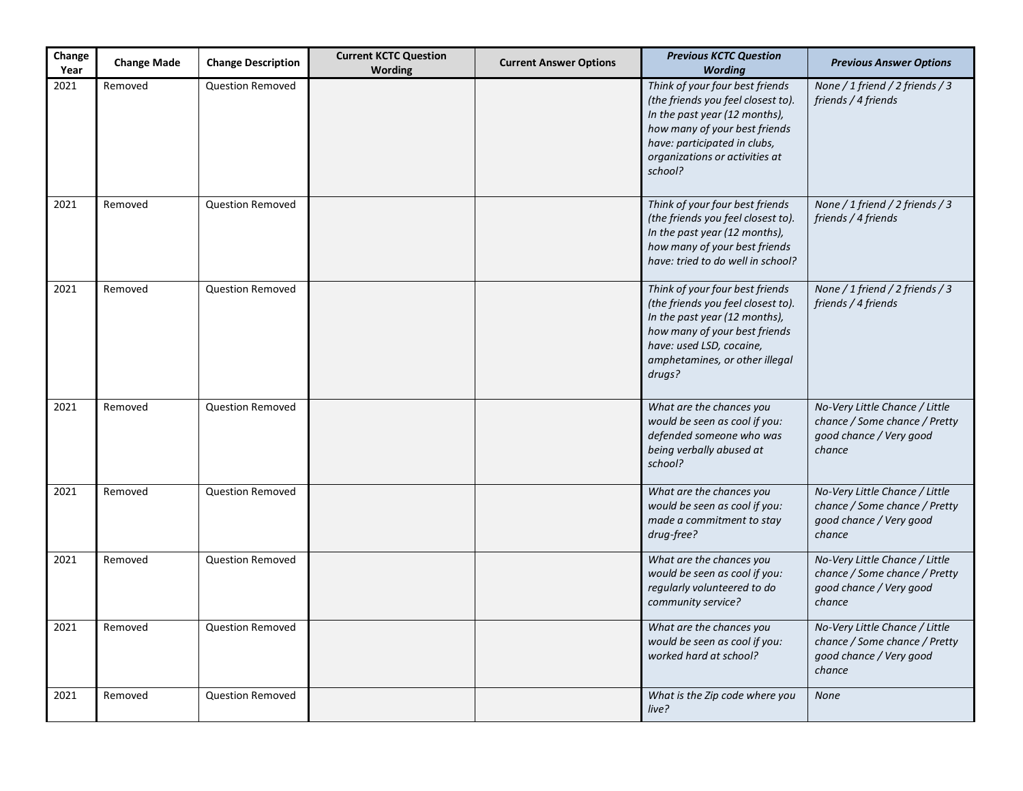| Change<br>Year | <b>Change Made</b> | <b>Change Description</b> | <b>Current KCTC Question</b><br><b>Wording</b> | <b>Current Answer Options</b> | <b>Previous KCTC Question</b><br><b>Wording</b>                                                                                                                                                                      | <b>Previous Answer Options</b>                                                                       |
|----------------|--------------------|---------------------------|------------------------------------------------|-------------------------------|----------------------------------------------------------------------------------------------------------------------------------------------------------------------------------------------------------------------|------------------------------------------------------------------------------------------------------|
| 2021           | Removed            | <b>Question Removed</b>   |                                                |                               | Think of your four best friends<br>(the friends you feel closest to).<br>In the past year (12 months),<br>how many of your best friends<br>have: participated in clubs,<br>organizations or activities at<br>school? | None / 1 friend / 2 friends / 3<br>friends / 4 friends                                               |
| 2021           | Removed            | <b>Question Removed</b>   |                                                |                               | Think of your four best friends<br>(the friends you feel closest to).<br>In the past year (12 months),<br>how many of your best friends<br>have: tried to do well in school?                                         | None / 1 friend / 2 friends / 3<br>friends / 4 friends                                               |
| 2021           | Removed            | <b>Question Removed</b>   |                                                |                               | Think of your four best friends<br>(the friends you feel closest to).<br>In the past year (12 months),<br>how many of your best friends<br>have: used LSD, cocaine,<br>amphetamines, or other illegal<br>drugs?      | None / 1 friend / 2 friends / 3<br>friends / 4 friends                                               |
| 2021           | Removed            | <b>Question Removed</b>   |                                                |                               | What are the chances you<br>would be seen as cool if you:<br>defended someone who was<br>being verbally abused at<br>school?                                                                                         | No-Very Little Chance / Little<br>chance / Some chance / Pretty<br>good chance / Very good<br>chance |
| 2021           | Removed            | <b>Question Removed</b>   |                                                |                               | What are the chances you<br>would be seen as cool if you:<br>made a commitment to stay<br>drug-free?                                                                                                                 | No-Very Little Chance / Little<br>chance / Some chance / Pretty<br>good chance / Very good<br>chance |
| 2021           | Removed            | <b>Question Removed</b>   |                                                |                               | What are the chances you<br>would be seen as cool if you:<br>regularly volunteered to do<br>community service?                                                                                                       | No-Very Little Chance / Little<br>chance / Some chance / Pretty<br>good chance / Very good<br>chance |
| 2021           | Removed            | <b>Question Removed</b>   |                                                |                               | What are the chances you<br>would be seen as cool if you:<br>worked hard at school?                                                                                                                                  | No-Very Little Chance / Little<br>chance / Some chance / Pretty<br>good chance / Very good<br>chance |
| 2021           | Removed            | <b>Question Removed</b>   |                                                |                               | What is the Zip code where you<br>live?                                                                                                                                                                              | <b>None</b>                                                                                          |